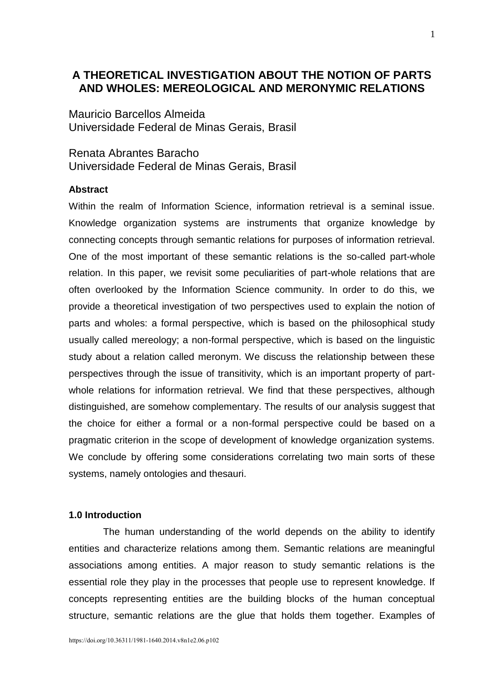# **A THEORETICAL INVESTIGATION ABOUT THE NOTION OF PARTS AND WHOLES: MEREOLOGICAL AND MERONYMIC RELATIONS**

Mauricio Barcellos Almeida Universidade Federal de Minas Gerais, Brasil

Renata Abrantes Baracho Universidade Federal de Minas Gerais, Brasil

# **Abstract**

Within the realm of Information Science, information retrieval is a seminal issue. Knowledge organization systems are instruments that organize knowledge by connecting concepts through semantic relations for purposes of information retrieval. One of the most important of these semantic relations is the so-called part-whole relation. In this paper, we revisit some peculiarities of part-whole relations that are often overlooked by the Information Science community. In order to do this, we provide a theoretical investigation of two perspectives used to explain the notion of parts and wholes: a formal perspective, which is based on the philosophical study usually called mereology; a non-formal perspective, which is based on the linguistic study about a relation called meronym. We discuss the relationship between these perspectives through the issue of transitivity, which is an important property of partwhole relations for information retrieval. We find that these perspectives, although distinguished, are somehow complementary. The results of our analysis suggest that the choice for either a formal or a non-formal perspective could be based on a pragmatic criterion in the scope of development of knowledge organization systems. We conclude by offering some considerations correlating two main sorts of these systems, namely ontologies and thesauri.

# **1.0 Introduction**

The human understanding of the world depends on the ability to identify entities and characterize relations among them. Semantic relations are meaningful associations among entities. A major reason to study semantic relations is the essential role they play in the processes that people use to represent knowledge. If concepts representing entities are the building blocks of the human conceptual structure, semantic relations are the glue that holds them together. Examples of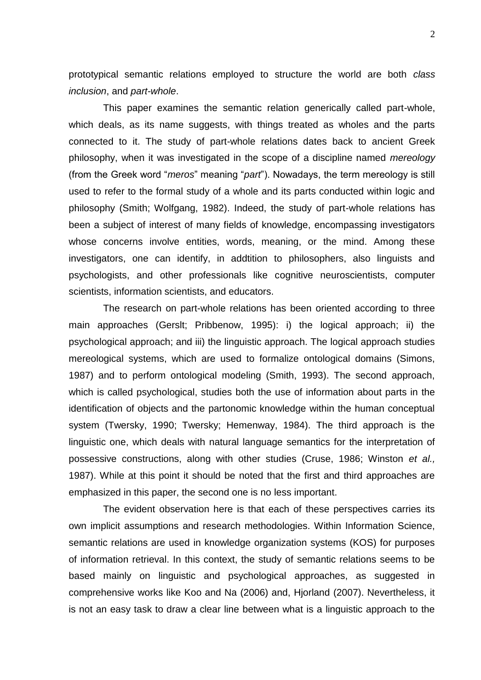prototypical semantic relations employed to structure the world are both *class inclusion*, and *part-whole*.

This paper examines the semantic relation generically called part-whole, which deals, as its name suggests, with things treated as wholes and the parts connected to it. The study of part-whole relations dates back to ancient Greek philosophy, when it was investigated in the scope of a discipline named *mereology* (from the Greek word "*meros*" meaning "*part*"). Nowadays, the term mereology is still used to refer to the formal study of a whole and its parts conducted within logic and philosophy (Smith; Wolfgang, 1982). Indeed, the study of part-whole relations has been a subject of interest of many fields of knowledge, encompassing investigators whose concerns involve entities, words, meaning, or the mind. Among these investigators, one can identify, in addtition to philosophers, also linguists and psychologists, and other professionals like cognitive neuroscientists, computer scientists, information scientists, and educators.

The research on part-whole relations has been oriented according to three main approaches (Gerslt; Pribbenow, 1995): i) the logical approach; ii) the psychological approach; and iii) the linguistic approach. The logical approach studies mereological systems, which are used to formalize ontological domains (Simons, 1987) and to perform ontological modeling (Smith, 1993). The second approach, which is called psychological, studies both the use of information about parts in the identification of objects and the partonomic knowledge within the human conceptual system (Twersky, 1990; Twersky; Hemenway, 1984). The third approach is the linguistic one, which deals with natural language semantics for the interpretation of possessive constructions, along with other studies (Cruse, 1986; Winston *et al.,* 1987). While at this point it should be noted that the first and third approaches are emphasized in this paper, the second one is no less important.

The evident observation here is that each of these perspectives carries its own implicit assumptions and research methodologies. Within Information Science, semantic relations are used in knowledge organization systems (KOS) for purposes of information retrieval. In this context, the study of semantic relations seems to be based mainly on linguistic and psychological approaches, as suggested in comprehensive works like Koo and Na (2006) and, Hjorland (2007). Nevertheless, it is not an easy task to draw a clear line between what is a linguistic approach to the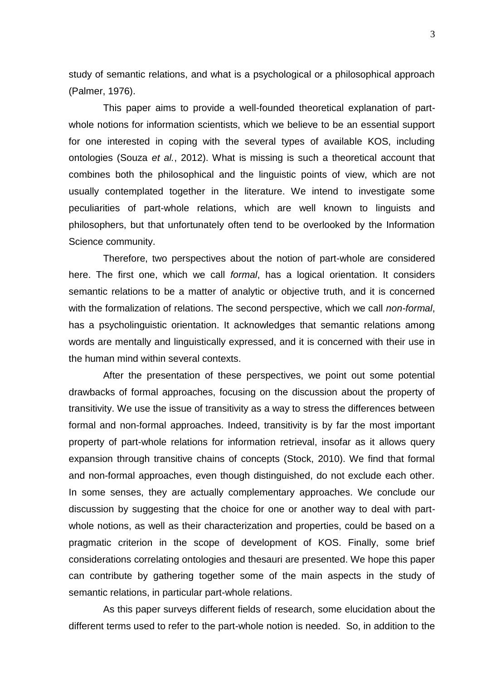study of semantic relations, and what is a psychological or a philosophical approach (Palmer, 1976).

This paper aims to provide a well-founded theoretical explanation of partwhole notions for information scientists, which we believe to be an essential support for one interested in coping with the several types of available KOS, including ontologies (Souza *et al.*, 2012). What is missing is such a theoretical account that combines both the philosophical and the linguistic points of view, which are not usually contemplated together in the literature. We intend to investigate some peculiarities of part-whole relations, which are well known to linguists and philosophers, but that unfortunately often tend to be overlooked by the Information Science community.

Therefore, two perspectives about the notion of part-whole are considered here. The first one, which we call *formal*, has a logical orientation. It considers semantic relations to be a matter of analytic or objective truth, and it is concerned with the formalization of relations. The second perspective, which we call *non-formal*, has a psycholinguistic orientation. It acknowledges that semantic relations among words are mentally and linguistically expressed, and it is concerned with their use in the human mind within several contexts.

After the presentation of these perspectives, we point out some potential drawbacks of formal approaches, focusing on the discussion about the property of transitivity. We use the issue of transitivity as a way to stress the differences between formal and non-formal approaches. Indeed, transitivity is by far the most important property of part-whole relations for information retrieval, insofar as it allows query expansion through transitive chains of concepts (Stock, 2010). We find that formal and non-formal approaches, even though distinguished, do not exclude each other. In some senses, they are actually complementary approaches. We conclude our discussion by suggesting that the choice for one or another way to deal with partwhole notions, as well as their characterization and properties, could be based on a pragmatic criterion in the scope of development of KOS. Finally, some brief considerations correlating ontologies and thesauri are presented. We hope this paper can contribute by gathering together some of the main aspects in the study of semantic relations, in particular part-whole relations.

As this paper surveys different fields of research, some elucidation about the different terms used to refer to the part-whole notion is needed. So, in addition to the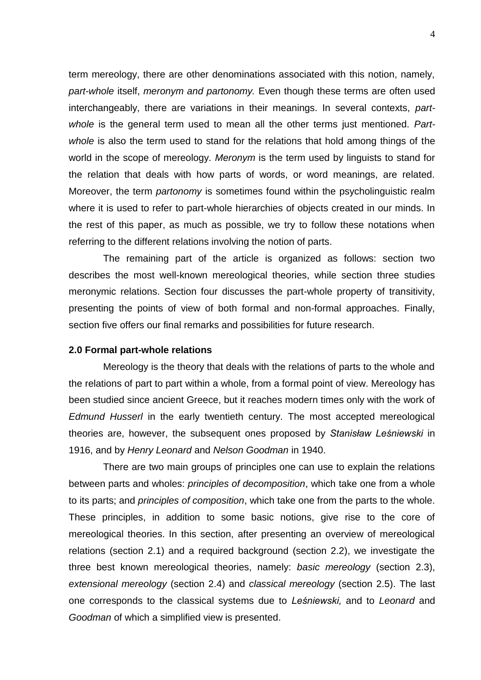term mereology, there are other denominations associated with this notion, namely, *part-whole* itself, *meronym and partonomy.* Even though these terms are often used interchangeably, there are variations in their meanings. In several contexts, *partwhole* is the general term used to mean all the other terms just mentioned. *Partwhole* is also the term used to stand for the relations that hold among things of the world in the scope of mereology. *Meronym* is the term used by linguists to stand for the relation that deals with how parts of words, or word meanings, are related. Moreover, the term *partonomy* is sometimes found within the psycholinguistic realm where it is used to refer to part-whole hierarchies of objects created in our minds. In the rest of this paper, as much as possible, we try to follow these notations when referring to the different relations involving the notion of parts.

The remaining part of the article is organized as follows: section two describes the most well-known mereological theories, while section three studies meronymic relations. Section four discusses the part-whole property of transitivity, presenting the points of view of both formal and non-formal approaches. Finally, section five offers our final remarks and possibilities for future research.

# **2.0 Formal part-whole relations**

Mereology is the theory that deals with the relations of parts to the whole and the relations of part to part within a whole, from a formal point of view. Mereology has been studied since ancient Greece, but it reaches modern times only with the work of *Edmund Husserl* in the early twentieth century. The most accepted mereological theories are, however, the subsequent ones proposed by *Stanisław Leśniewski* in 1916, and by *Henry Leonard* and *Nelson Goodman* in 1940.

There are two main groups of principles one can use to explain the relations between parts and wholes: *principles of decomposition*, which take one from a whole to its parts; and *principles of composition*, which take one from the parts to the whole. These principles, in addition to some basic notions, give rise to the core of mereological theories. In this section, after presenting an overview of mereological relations (section 2.1) and a required background (section 2.2), we investigate the three best known mereological theories, namely: *basic mereology* (section 2.3), *extensional mereology* (section 2.4) and *classical mereology* (section 2.5). The last one corresponds to the classical systems due to *Leśniewski,* and to *Leonard* and *Goodman* of which a simplified view is presented.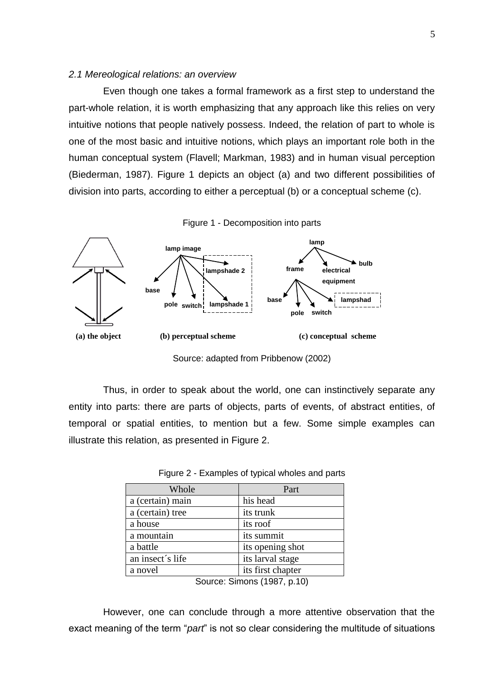### *2.1 Mereological relations: an overview*

Even though one takes a formal framework as a first step to understand the part-whole relation, it is worth emphasizing that any approach like this relies on very intuitive notions that people natively possess. Indeed, the relation of part to whole is one of the most basic and intuitive notions, which plays an important role both in the human conceptual system (Flavell; Markman, 1983) and in human visual perception (Biederman, 1987). Figure 1 depicts an object (a) and two different possibilities of division into parts, according to either a perceptual (b) or a conceptual scheme (c).



Figure 1 - Decomposition into parts

Source: adapted from Pribbenow (2002)

Thus, in order to speak about the world, one can instinctively separate any entity into parts: there are parts of objects, parts of events, of abstract entities, of temporal or spatial entities, to mention but a few. Some simple examples can illustrate this relation, as presented in Figure 2.

| Whole               | Part              |
|---------------------|-------------------|
| a (certain) main    | his head          |
| a (certain) tree    | its trunk         |
| a house             | its roof          |
| a mountain          | its summit        |
| a battle            | its opening shot  |
| an insect's life    | its larval stage  |
| a novel<br>- -<br>- | its first chapter |

Figure 2 - Examples of typical wholes and parts

However, one can conclude through a more attentive observation that the exact meaning of the term "*part*" is not so clear considering the multitude of situations

Source: Simons (1987, p.10)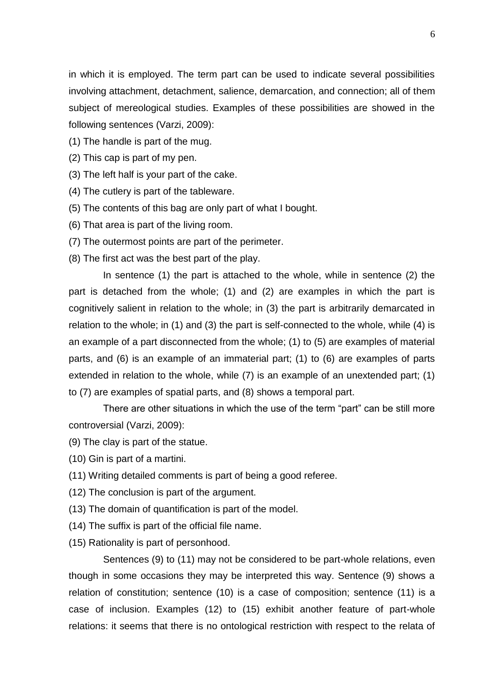in which it is employed. The term part can be used to indicate several possibilities involving attachment, detachment, salience, demarcation, and connection; all of them subject of mereological studies. Examples of these possibilities are showed in the following sentences (Varzi, 2009):

- (1) The handle is part of the mug.
- (2) This cap is part of my pen.
- (3) The left half is your part of the cake.
- (4) The cutlery is part of the tableware.
- (5) The contents of this bag are only part of what I bought.
- (6) That area is part of the living room.
- (7) The outermost points are part of the perimeter.
- (8) The first act was the best part of the play.

In sentence (1) the part is attached to the whole, while in sentence (2) the part is detached from the whole; (1) and (2) are examples in which the part is cognitively salient in relation to the whole; in (3) the part is arbitrarily demarcated in relation to the whole; in (1) and (3) the part is self-connected to the whole, while (4) is an example of a part disconnected from the whole; (1) to (5) are examples of material parts, and (6) is an example of an immaterial part; (1) to (6) are examples of parts extended in relation to the whole, while (7) is an example of an unextended part; (1) to (7) are examples of spatial parts, and (8) shows a temporal part.

There are other situations in which the use of the term "part" can be still more controversial (Varzi, 2009):

- (9) The clay is part of the statue.
- (10) Gin is part of a martini.
- (11) Writing detailed comments is part of being a good referee.
- (12) The conclusion is part of the argument.
- (13) The domain of quantification is part of the model.
- (14) The suffix is part of the official file name.
- (15) Rationality is part of personhood.

Sentences (9) to (11) may not be considered to be part-whole relations, even though in some occasions they may be interpreted this way. Sentence (9) shows a relation of constitution; sentence (10) is a case of composition; sentence (11) is a case of inclusion. Examples (12) to (15) exhibit another feature of part-whole relations: it seems that there is no ontological restriction with respect to the relata of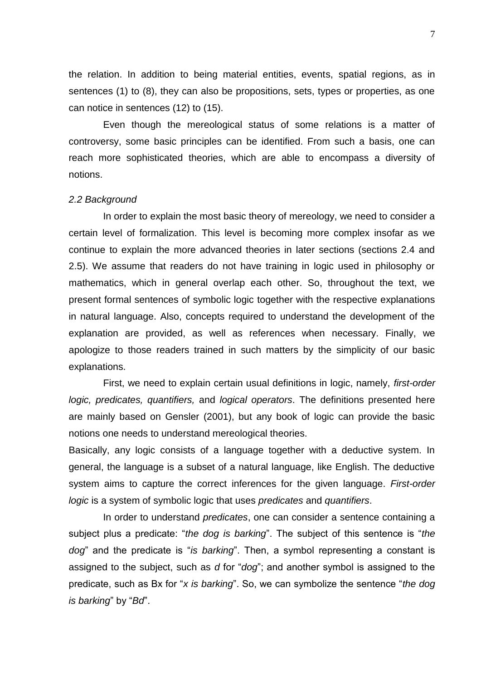the relation. In addition to being material entities, events, spatial regions, as in sentences (1) to (8), they can also be propositions, sets, types or properties, as one can notice in sentences (12) to (15).

Even though the mereological status of some relations is a matter of controversy, some basic principles can be identified. From such a basis, one can reach more sophisticated theories, which are able to encompass a diversity of notions.

### *2.2 Background*

In order to explain the most basic theory of mereology, we need to consider a certain level of formalization. This level is becoming more complex insofar as we continue to explain the more advanced theories in later sections (sections 2.4 and 2.5). We assume that readers do not have training in logic used in philosophy or mathematics, which in general overlap each other. So, throughout the text, we present formal sentences of symbolic logic together with the respective explanations in natural language. Also, concepts required to understand the development of the explanation are provided, as well as references when necessary. Finally, we apologize to those readers trained in such matters by the simplicity of our basic explanations.

First, we need to explain certain usual definitions in logic, namely, *first-order logic, predicates, quantifiers,* and *logical operators*. The definitions presented here are mainly based on Gensler (2001), but any book of logic can provide the basic notions one needs to understand mereological theories.

Basically, any logic consists of a language together with a deductive system. In general, the language is a subset of a natural language, like English. The deductive system aims to capture the correct inferences for the given language. *First-order logic* is a system of symbolic logic that uses *predicates* and *quantifiers*.

In order to understand *predicates*, one can consider a sentence containing a subject plus a predicate: "*the dog is barking*". The subject of this sentence is "*the dog*" and the predicate is "*is barking*". Then, a symbol representing a constant is assigned to the subject, such as *d* for "*dog*"; and another symbol is assigned to the predicate, such as Bx for "*x is barking*". So, we can symbolize the sentence "*the dog is barking*" by "*Bd*".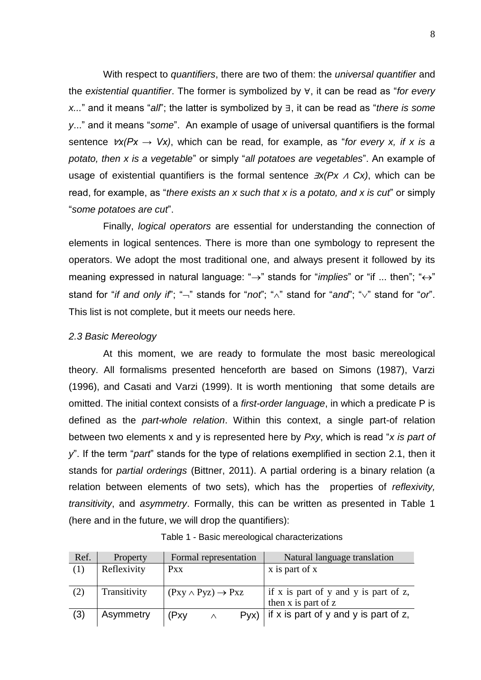With respect to *quantifiers*, there are two of them: the *universal quantifier* and the *existential quantifier*. The former is symbolized by ∀, it can be read as "*for every x...*" and it means "*all*"; the latter is symbolized by ∃, it can be read as "*there is some y*..." and it means "*some*". An example of usage of universal quantifiers is the formal sentence ∀*x(Px → Vx)*, which can be read, for example, as "*for every x, if x is a potato, then x is a vegetable*" or simply "*all potatoes are vegetables*". An example of usage of existential quantifiers is the formal sentence ∃*x(Px* <sup>∧</sup> *Cx)*, which can be read, for example, as "*there exists an x such that x is a potato, and x is cut*" or simply "*some potatoes are cut*".

Finally, *logical operators* are essential for understanding the connection of elements in logical sentences. There is more than one symbology to represent the operators. We adopt the most traditional one, and always present it followed by its meaning expressed in natural language: " $\rightarrow$ " stands for "*implies*" or "if ... then"; " $\leftrightarrow$ " stand for "*if and only if*"; " $\overline{\phantom{a}}$ " stands for "*not*"; " $\overline{\phantom{a}}$ " stand for " $\overline{\phantom{a}}$ " stand for "*or*". This list is not complete, but it meets our needs here.

# *2.3 Basic Mereology*

At this moment, we are ready to formulate the most basic mereological theory. All formalisms presented henceforth are based on Simons (1987), Varzi (1996), and Casati and Varzi (1999). It is worth mentioning that some details are omitted. The initial context consists of a *first-order language*, in which a predicate P is defined as the *part-whole relation*. Within this context, a single part-of relation between two elements x and y is represented here by *Pxy*, which is read "*x is part of y*". If the term "*part*" stands for the type of relations exemplified in section 2.1, then it stands for *partial orderings* (Bittner, 2011). A partial ordering is a binary relation (a relation between elements of two sets), which has the properties of *reflexivity, transitivity*, and *asymmetry*. Formally, this can be written as presented in Table 1 (here and in the future, we will drop the quantifiers):

| Ref. | Property     | Formal representation              |          |  | Natural language translation                  |  |                |
|------|--------------|------------------------------------|----------|--|-----------------------------------------------|--|----------------|
| (1)  | Reflexivity  | <b>Pxx</b>                         |          |  |                                               |  | x is part of x |
|      |              |                                    |          |  |                                               |  |                |
| (2)  | Transitivity | $(Pxy \wedge Pyz) \rightarrow Pxz$ |          |  | if x is part of y and y is part of z,         |  |                |
|      |              |                                    |          |  | then x is part of z                           |  |                |
| (3)  | Asymmetry    | (Pxy                               | $\wedge$ |  | $Pyx$ ) if x is part of y and y is part of z, |  |                |
|      |              |                                    |          |  |                                               |  |                |

| Table 1 - Basic mereological characterizations |  |
|------------------------------------------------|--|
|------------------------------------------------|--|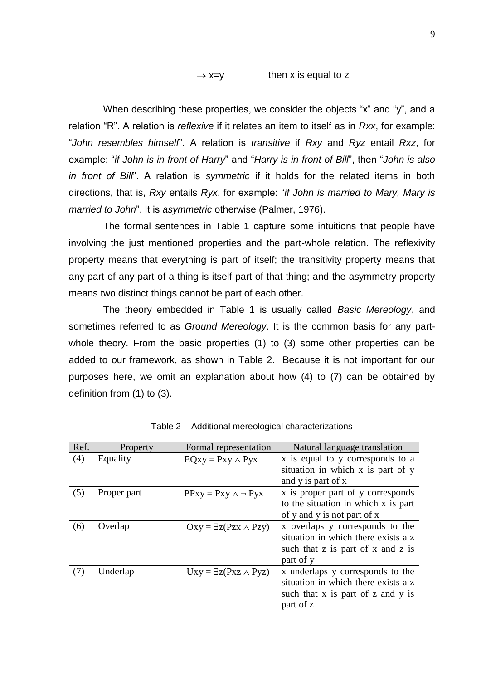|  | —、 ∨—\ ′ | then x is equal to z |
|--|----------|----------------------|
|  |          |                      |

When describing these properties, we consider the objects "x" and "y", and a relation "R". A relation is *reflexive* if it relates an item to itself as in *Rxx*, for example: "*John resembles himself*". A relation is *transitive* if *Rxy* and *Ryz* entail *Rxz*, for example: "*if John is in front of Harry*" and "*Harry is in front of Bill*", then "*John is also in front of Bill*". A relation is *symmetric* if it holds for the related items in both directions, that is, *Rxy* entails *Ryx*, for example: "*if John is married to Mary, Mary is married to John*". It is *asymmetric* otherwise (Palmer, 1976).

The formal sentences in Table 1 capture some intuitions that people have involving the just mentioned properties and the part-whole relation. The reflexivity property means that everything is part of itself; the transitivity property means that any part of any part of a thing is itself part of that thing; and the asymmetry property means two distinct things cannot be part of each other.

The theory embedded in Table 1 is usually called *Basic Mereology*, and sometimes referred to as *Ground Mereology*. It is the common basis for any partwhole theory. From the basic properties (1) to (3) some other properties can be added to our framework, as shown in Table 2. Because it is not important for our purposes here, we omit an explanation about how (4) to (7) can be obtained by definition from (1) to (3).

| Ref. | Property    | Formal representation             | Natural language translation                                          |  |  |
|------|-------------|-----------------------------------|-----------------------------------------------------------------------|--|--|
| (4)  | Equality    | $EQxy = Pay \wedge Pyx$           | x is equal to y corresponds to a<br>situation in which x is part of y |  |  |
|      |             |                                   | and y is part of x                                                    |  |  |
| (5)  | Proper part | $PPxy = Pxy \wedge \neg Pyx$      | x is proper part of y corresponds                                     |  |  |
|      |             |                                   | to the situation in which x is part                                   |  |  |
|      |             |                                   | of y and y is not part of x                                           |  |  |
| (6)  | Overlap     | $Oxy = \exists z(Pzx \land Pzy)$  | x overlaps y corresponds to the                                       |  |  |
|      |             |                                   | situation in which there exists a z                                   |  |  |
|      |             |                                   | such that z is part of x and z is                                     |  |  |
|      |             |                                   | part of y                                                             |  |  |
| (7)  | Underlap    | $Uxy = \exists z(Pxz \wedge Pyz)$ | x underlaps y corresponds to the                                      |  |  |
|      |             |                                   | situation in which there exists a z                                   |  |  |
|      |             |                                   | such that x is part of z and y is                                     |  |  |
|      |             |                                   | part of z                                                             |  |  |

Table 2 - Additional mereological characterizations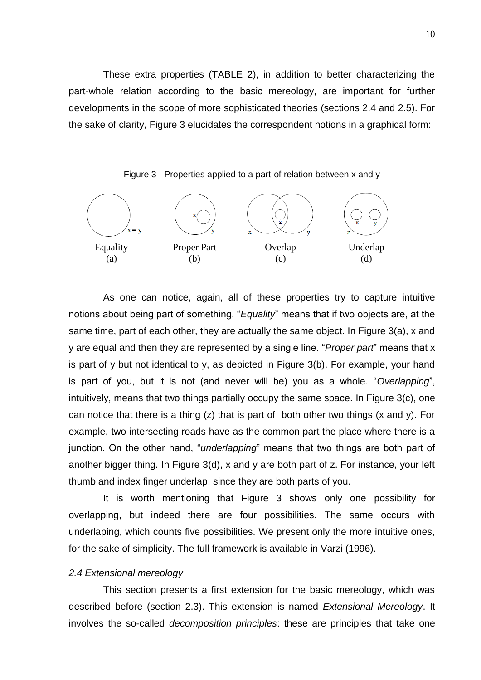These extra properties (TABLE 2), in addition to better characterizing the part-whole relation according to the basic mereology, are important for further developments in the scope of more sophisticated theories (sections 2.4 and 2.5). For the sake of clarity, Figure 3 elucidates the correspondent notions in a graphical form:





As one can notice, again, all of these properties try to capture intuitive notions about being part of something. "*Equality*" means that if two objects are, at the same time, part of each other, they are actually the same object. In Figure 3(a), x and y are equal and then they are represented by a single line. "*Proper part*" means that x is part of y but not identical to y, as depicted in Figure 3(b). For example, your hand is part of you, but it is not (and never will be) you as a whole. "*Overlapping*", intuitively, means that two things partially occupy the same space. In Figure 3(c), one can notice that there is a thing  $(z)$  that is part of both other two things  $(x \text{ and } y)$ . For example, two intersecting roads have as the common part the place where there is a junction. On the other hand, "*underlapping*" means that two things are both part of another bigger thing. In Figure 3(d), x and y are both part of z. For instance, your left thumb and index finger underlap, since they are both parts of you.

It is worth mentioning that Figure 3 shows only one possibility for overlapping, but indeed there are four possibilities. The same occurs with underlaping, which counts five possibilities. We present only the more intuitive ones, for the sake of simplicity. The full framework is available in Varzi (1996).

### *2.4 Extensional mereology*

This section presents a first extension for the basic mereology, which was described before (section 2.3). This extension is named *Extensional Mereology*. It involves the so-called *decomposition principles*: these are principles that take one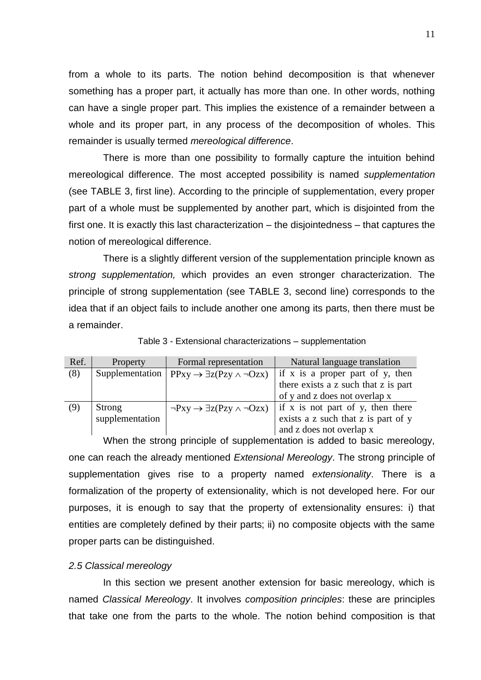from a whole to its parts. The notion behind decomposition is that whenever something has a proper part, it actually has more than one. In other words, nothing can have a single proper part. This implies the existence of a remainder between a whole and its proper part, in any process of the decomposition of wholes. This remainder is usually termed *mereological difference*.

There is more than one possibility to formally capture the intuition behind mereological difference. The most accepted possibility is named *supplementation* (see TABLE 3, first line). According to the principle of supplementation, every proper part of a whole must be supplemented by another part, which is disjointed from the first one. It is exactly this last characterization – the disjointedness – that captures the notion of mereological difference.

There is a slightly different version of the supplementation principle known as *strong supplementation,* which provides an even stronger characterization. The principle of strong supplementation (see TABLE 3, second line) corresponds to the idea that if an object fails to include another one among its parts, then there must be a remainder.

| Ref. | Property        | Formal representation                                 | Natural language translation             |  |
|------|-----------------|-------------------------------------------------------|------------------------------------------|--|
| (8)  | Supplementation | $PPxy \rightarrow \exists z (Pzy \land \neg Ozx)$     | if x is a proper part of y, then         |  |
|      |                 |                                                       | there exists a z such that z is part     |  |
|      |                 |                                                       | of y and z does not overlap x            |  |
| (9)  | Strong          | $\neg Pxy \rightarrow \exists z (Pzy \land \neg Ozx)$ | $\int$ if x is not part of y, then there |  |
|      | supplementation |                                                       | exists a z such that z is part of y      |  |
|      |                 |                                                       | and z does not overlap x                 |  |

Table 3 - Extensional characterizations – supplementation

When the strong principle of supplementation is added to basic mereology, one can reach the already mentioned *Extensional Mereology*. The strong principle of supplementation gives rise to a property named *extensionality*. There is a formalization of the property of extensionality, which is not developed here. For our purposes, it is enough to say that the property of extensionality ensures: i) that entities are completely defined by their parts; ii) no composite objects with the same proper parts can be distinguished.

# *2.5 Classical mereology*

In this section we present another extension for basic mereology, which is named *Classical Mereology*. It involves *composition principles*: these are principles that take one from the parts to the whole. The notion behind composition is that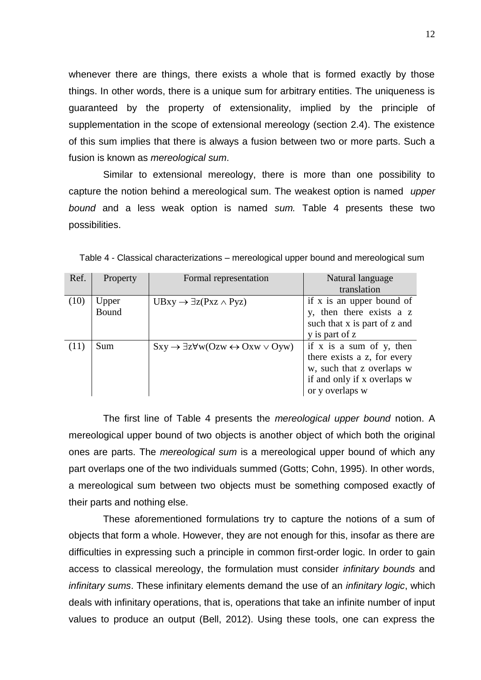whenever there are things, there exists a whole that is formed exactly by those things. In other words, there is a unique sum for arbitrary entities. The uniqueness is guaranteed by the property of extensionality, implied by the principle of supplementation in the scope of extensional mereology (section 2.4). The existence of this sum implies that there is always a fusion between two or more parts. Such a fusion is known as *mereological sum*.

Similar to extensional mereology, there is more than one possibility to capture the notion behind a mereological sum. The weakest option is named *upper bound* and a less weak option is named *sum.* Table 4 presents these two possibilities.

| Ref. | Property | Formal representation                                                    | Natural language             |  |
|------|----------|--------------------------------------------------------------------------|------------------------------|--|
|      |          |                                                                          | translation                  |  |
| (10) | Upper    | $UBxy \rightarrow \exists z(Pxz \land Pyz)$                              | if x is an upper bound of    |  |
|      | Bound    |                                                                          | y, then there exists a z     |  |
|      |          |                                                                          | such that x is part of z and |  |
|      |          |                                                                          | y is part of z               |  |
| (11) | Sum      | $Sxy \rightarrow \exists z \forall w (Ozw \leftrightarrow Oxw \vee Oyw)$ | if x is a sum of y, then     |  |
|      |          |                                                                          | there exists a z, for every  |  |
|      |          |                                                                          | w, such that z overlaps w    |  |
|      |          |                                                                          | if and only if x overlaps w  |  |
|      |          |                                                                          | or y overlaps w              |  |

Table 4 - Classical characterizations – mereological upper bound and mereological sum

The first line of Table 4 presents the *mereological upper bound* notion. A mereological upper bound of two objects is another object of which both the original ones are parts. The *mereological sum* is a mereological upper bound of which any part overlaps one of the two individuals summed (Gotts; Cohn, 1995). In other words, a mereological sum between two objects must be something composed exactly of their parts and nothing else.

These aforementioned formulations try to capture the notions of a sum of objects that form a whole. However, they are not enough for this, insofar as there are difficulties in expressing such a principle in common first-order logic. In order to gain access to classical mereology, the formulation must consider *infinitary bounds* and *infinitary sums*. These infinitary elements demand the use of an *infinitary logic*, which deals with infinitary operations, that is, operations that take an infinite number of input values to produce an output (Bell, 2012). Using these tools, one can express the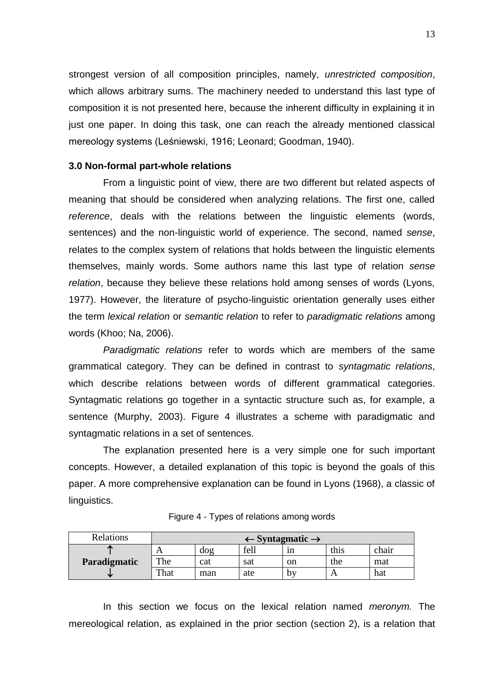strongest version of all composition principles, namely, *unrestricted composition*, which allows arbitrary sums. The machinery needed to understand this last type of composition it is not presented here, because the inherent difficulty in explaining it in just one paper. In doing this task, one can reach the already mentioned classical mereology systems (Leśniewski, 1916; Leonard; Goodman, 1940).

# **3.0 Non-formal part-whole relations**

From a linguistic point of view, there are two different but related aspects of meaning that should be considered when analyzing relations. The first one, called *reference*, deals with the relations between the linguistic elements (words, sentences) and the non-linguistic world of experience. The second, named *sense*, relates to the complex system of relations that holds between the linguistic elements themselves, mainly words. Some authors name this last type of relation *sense relation*, because they believe these relations hold among senses of words (Lyons, 1977). However, the literature of psycho-linguistic orientation generally uses either the term *lexical relation* or *semantic relation* to refer to *paradigmatic relations* among words (Khoo; Na, 2006).

*Paradigmatic relations* refer to words which are members of the same grammatical category. They can be defined in contrast to *syntagmatic relations*, which describe relations between words of different grammatical categories. Syntagmatic relations go together in a syntactic structure such as, for example, a sentence (Murphy, 2003). Figure 4 illustrates a scheme with paradigmatic and syntagmatic relations in a set of sentences.

The explanation presented here is a very simple one for such important concepts. However, a detailed explanation of this topic is beyond the goals of this paper. A more comprehensive explanation can be found in Lyons (1968), a classic of linguistics.

| Relations    | $\leftarrow$ Syntagmatic $\rightarrow$ |     |      |    |      |       |
|--------------|----------------------------------------|-----|------|----|------|-------|
| æ            |                                        | dog | fell | 1n | this | chair |
| Paradigmatic | The                                    | cat | sat  | on | the  | mat   |
| w            | That                                   | man | ate  | bv |      | hat   |

## Figure 4 - Types of relations among words

In this section we focus on the lexical relation named *meronym.* The mereological relation, as explained in the prior section (section 2), is a relation that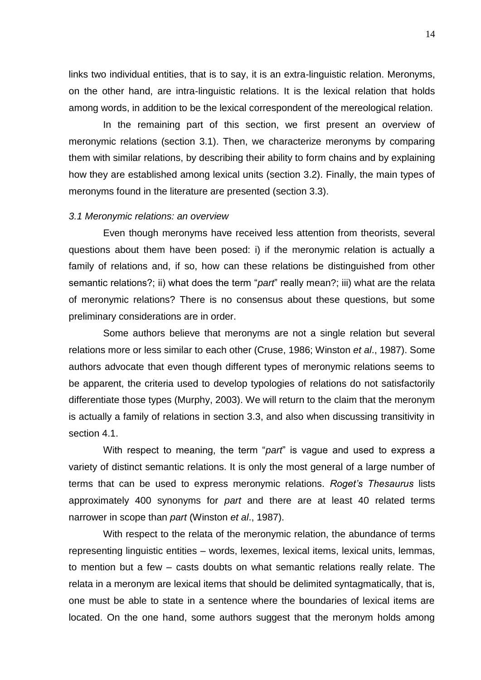links two individual entities, that is to say, it is an extra-linguistic relation. Meronyms, on the other hand, are intra-linguistic relations. It is the lexical relation that holds among words, in addition to be the lexical correspondent of the mereological relation.

In the remaining part of this section, we first present an overview of meronymic relations (section 3.1). Then, we characterize meronyms by comparing them with similar relations, by describing their ability to form chains and by explaining how they are established among lexical units (section 3.2). Finally, the main types of meronyms found in the literature are presented (section 3.3).

#### *3.1 Meronymic relations: an overview*

Even though meronyms have received less attention from theorists, several questions about them have been posed: i) if the meronymic relation is actually a family of relations and, if so, how can these relations be distinguished from other semantic relations?; ii) what does the term "*part*" really mean?; iii) what are the relata of meronymic relations? There is no consensus about these questions, but some preliminary considerations are in order.

Some authors believe that meronyms are not a single relation but several relations more or less similar to each other (Cruse, 1986; Winston *et al*., 1987). Some authors advocate that even though different types of meronymic relations seems to be apparent, the criteria used to develop typologies of relations do not satisfactorily differentiate those types (Murphy, 2003). We will return to the claim that the meronym is actually a family of relations in section 3.3, and also when discussing transitivity in section 4.1

With respect to meaning, the term "*part*" is vague and used to express a variety of distinct semantic relations. It is only the most general of a large number of terms that can be used to express meronymic relations. *Roget's Thesaurus* lists approximately 400 synonyms for *part* and there are at least 40 related terms narrower in scope than *part* (Winston *et al*., 1987).

With respect to the relata of the meronymic relation, the abundance of terms representing linguistic entities – words, lexemes, lexical items, lexical units, lemmas, to mention but a few – casts doubts on what semantic relations really relate. The relata in a meronym are lexical items that should be delimited syntagmatically, that is, one must be able to state in a sentence where the boundaries of lexical items are located. On the one hand, some authors suggest that the meronym holds among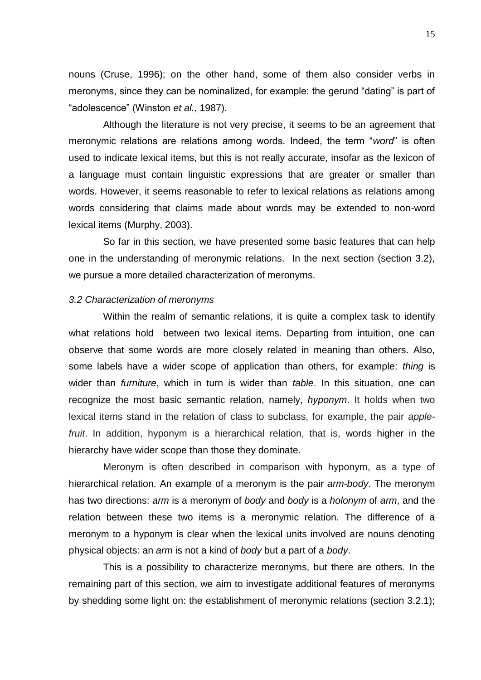nouns (Cruse, 1996); on the other hand, some of them also consider verbs in meronyms, since they can be nominalized, for example: the gerund "dating" is part of "adolescence" (Winston *et al.,* 1987).

Although the literature is not very precise, it seems to be an agreement that meronymic relations are relations among words. Indeed, the term "*word*" is often used to indicate lexical items, but this is not really accurate, insofar as the lexicon of a language must contain linguistic expressions that are greater or smaller than words. However, it seems reasonable to refer to lexical relations as relations among words considering that claims made about words may be extended to non-word lexical items (Murphy, 2003).

So far in this section, we have presented some basic features that can help one in the understanding of meronymic relations. In the next section (section 3.2), we pursue a more detailed characterization of meronyms.

#### *3.2 Characterization of meronyms*

Within the realm of semantic relations, it is quite a complex task to identify what relations hold between two lexical items. Departing from intuition, one can observe that some words are more closely related in meaning than others. Also, some labels have a wider scope of application than others, for example: *thing* is wider than *furniture*, which in turn is wider than *table*. In this situation, one can recognize the most basic semantic relation, namely, *hyponym*. It holds when two lexical items stand in the relation of class to subclass, for example, the pair *applefruit*. In addition, hyponym is a hierarchical relation, that is, words higher in the hierarchy have wider scope than those they dominate.

Meronym is often described in comparison with hyponym, as a type of hierarchical relation. An example of a meronym is the pair *arm-body*. The meronym has two directions: *arm* is a meronym of *body* and *body* is a *holonym* of *arm*, and the relation between these two items is a meronymic relation. The difference of a meronym to a hyponym is clear when the lexical units involved are nouns denoting physical objects: an *arm* is not a kind of *body* but a part of a *body*.

This is a possibility to characterize meronyms, but there are others. In the remaining part of this section, we aim to investigate additional features of meronyms by shedding some light on: the establishment of meronymic relations (section 3.2.1);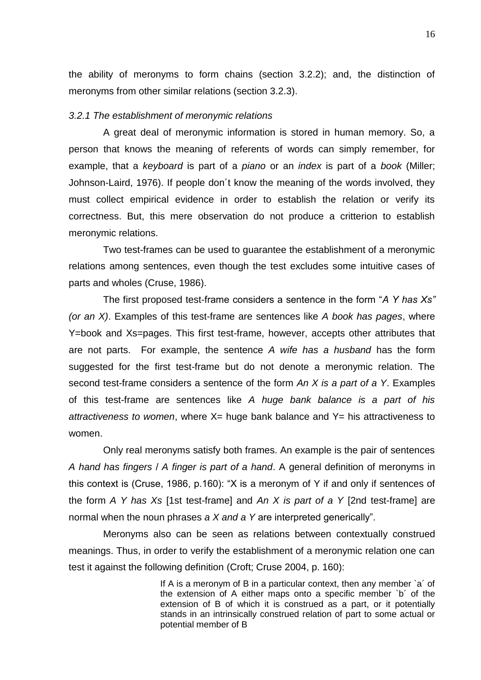the ability of meronyms to form chains (section 3.2.2); and, the distinction of meronyms from other similar relations (section 3.2.3).

# *3.2.1 The establishment of meronymic relations*

A great deal of meronymic information is stored in human memory. So, a person that knows the meaning of referents of words can simply remember, for example, that a *keyboard* is part of a *piano* or an *index* is part of a *book* (Miller; Johnson-Laird, 1976). If people don´t know the meaning of the words involved, they must collect empirical evidence in order to establish the relation or verify its correctness. But, this mere observation do not produce a critterion to establish meronymic relations.

Two test-frames can be used to guarantee the establishment of a meronymic relations among sentences, even though the test excludes some intuitive cases of parts and wholes (Cruse, 1986).

The first proposed test-frame considers a sentence in the form "*A Y has Xs" (or an X)*. Examples of this test-frame are sentences like *A book has pages*, where Y=book and Xs=pages. This first test-frame, however, accepts other attributes that are not parts. For example, the sentence *A wife has a husband* has the form suggested for the first test-frame but do not denote a meronymic relation. The second test-frame considers a sentence of the form *An X is a part of a Y*. Examples of this test-frame are sentences like *A huge bank balance is a part of his attractiveness to women*, where X= huge bank balance and Y= his attractiveness to women.

Only real meronyms satisfy both frames. An example is the pair of sentences *A hand has fingers* / *A finger is part of a hand*. A general definition of meronyms in this context is (Cruse, 1986, p.160): "X is a meronym of Y if and only if sentences of the form *A Y has Xs* [1st test-frame] and *An X is part of a Y* [2nd test-frame] are normal when the noun phrases *a X and a Y* are interpreted generically".

Meronyms also can be seen as relations between contextually construed meanings. Thus, in order to verify the establishment of a meronymic relation one can test it against the following definition (Croft; Cruse 2004, p. 160):

> If A is a meronym of B in a particular context, then any member `a' of the extension of A either maps onto a specific member `b´ of the extension of B of which it is construed as a part, or it potentially stands in an intrinsically construed relation of part to some actual or potential member of B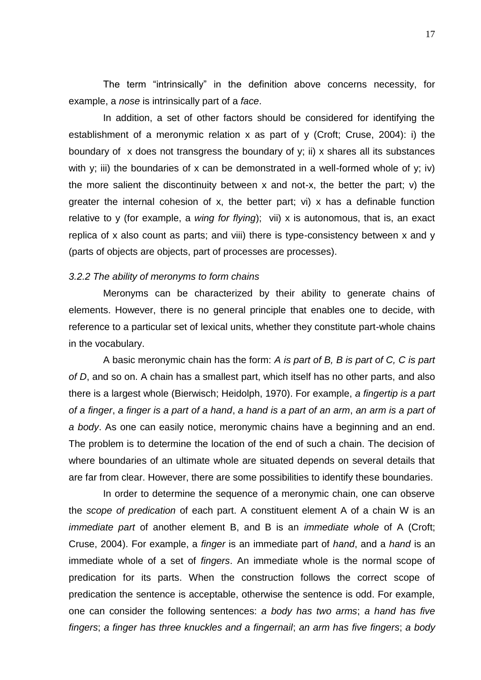The term "intrinsically" in the definition above concerns necessity, for example, a *nose* is intrinsically part of a *face*.

In addition, a set of other factors should be considered for identifying the establishment of a meronymic relation x as part of y (Croft; Cruse, 2004): i) the boundary of x does not transgress the boundary of y; ii) x shares all its substances with y; iii) the boundaries of x can be demonstrated in a well-formed whole of y; iv) the more salient the discontinuity between x and not-x, the better the part; v) the greater the internal cohesion of x, the better part; vi) x has a definable function relative to y (for example, a *wing for flying*); vii) x is autonomous, that is, an exact replica of x also count as parts; and viii) there is type-consistency between x and y (parts of objects are objects, part of processes are processes).

### *3.2.2 The ability of meronyms to form chains*

Meronyms can be characterized by their ability to generate chains of elements. However, there is no general principle that enables one to decide, with reference to a particular set of lexical units, whether they constitute part-whole chains in the vocabulary.

A basic meronymic chain has the form: *A is part of B, B is part of C, C is part of D*, and so on. A chain has a smallest part, which itself has no other parts, and also there is a largest whole (Bierwisch; Heidolph, 1970). For example, *a fingertip is a part of a finger*, *a finger is a part of a hand*, *a hand is a part of an arm*, *an arm is a part of a body*. As one can easily notice, meronymic chains have a beginning and an end. The problem is to determine the location of the end of such a chain. The decision of where boundaries of an ultimate whole are situated depends on several details that are far from clear. However, there are some possibilities to identify these boundaries.

In order to determine the sequence of a meronymic chain, one can observe the *scope of predication* of each part. A constituent element A of a chain W is an *immediate part* of another element B, and B is an *immediate whole* of A (Croft; Cruse, 2004). For example, a *finger* is an immediate part of *hand*, and a *hand* is an immediate whole of a set of *fingers*. An immediate whole is the normal scope of predication for its parts. When the construction follows the correct scope of predication the sentence is acceptable, otherwise the sentence is odd. For example, one can consider the following sentences: *a body has two arms*; *a hand has five fingers*; *a finger has three knuckles and a fingernail*; *an arm has five fingers*; *a body*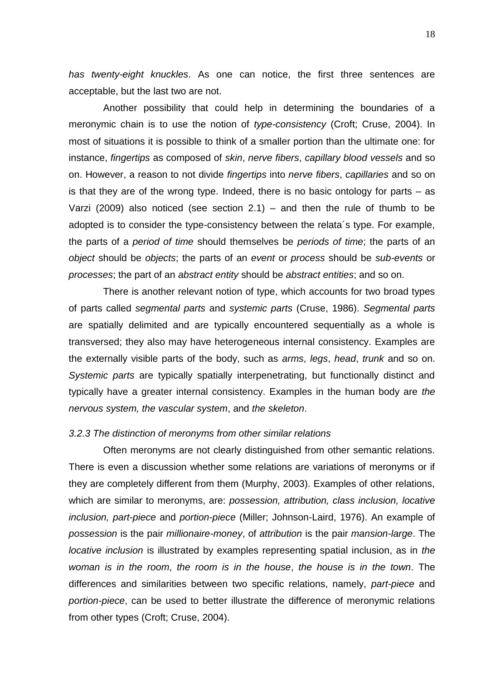*has twenty-eight knuckles*. As one can notice, the first three sentences are acceptable, but the last two are not.

Another possibility that could help in determining the boundaries of a meronymic chain is to use the notion of *type-consistency* (Croft; Cruse, 2004). In most of situations it is possible to think of a smaller portion than the ultimate one: for instance, *fingertips* as composed of *skin*, *nerve fibers*, *capillary blood vessels* and so on. However, a reason to not divide *fingertips* into *nerve fibers*, *capillaries* and so on is that they are of the wrong type. Indeed, there is no basic ontology for parts – as Varzi (2009) also noticed (see section  $2.1$ ) – and then the rule of thumb to be adopted is to consider the type-consistency between the relata´s type. For example, the parts of a *period of time* should themselves be *periods of time*; the parts of an *object* should be *objects*; the parts of an *event* or *process* should be *sub-events* or *processes*; the part of an *abstract entity* should be *abstract entities*; and so on.

There is another relevant notion of type, which accounts for two broad types of parts called *segmental parts* and *systemic parts* (Cruse, 1986). *Segmental parts* are spatially delimited and are typically encountered sequentially as a whole is transversed; they also may have heterogeneous internal consistency. Examples are the externally visible parts of the body, such as *arms*, *legs*, *head*, *trunk* and so on. *Systemic parts* are typically spatially interpenetrating, but functionally distinct and typically have a greater internal consistency. Examples in the human body are *the nervous system, the vascular system*, and *the skeleton*.

### *3.2.3 The distinction of meronyms from other similar relations*

Often meronyms are not clearly distinguished from other semantic relations. There is even a discussion whether some relations are variations of meronyms or if they are completely different from them (Murphy, 2003). Examples of other relations, which are similar to meronyms, are: *possession, attribution, class inclusion, locative inclusion, part-piece* and *portion-piece* (Miller; Johnson-Laird, 1976). An example of *possession* is the pair *millionaire-money*, of *attribution* is the pair *mansion-large*. The *locative inclusion* is illustrated by examples representing spatial inclusion, as in *the woman is in the room*, *the room is in the house*, *the house is in the town*. The differences and similarities between two specific relations, namely, *part-piece* and *portion-piece*, can be used to better illustrate the difference of meronymic relations from other types (Croft; Cruse, 2004).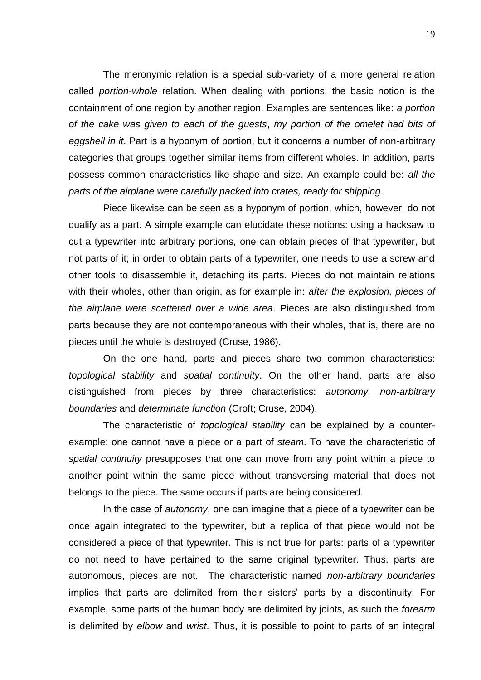The meronymic relation is a special sub-variety of a more general relation called *portion-whole* relation. When dealing with portions, the basic notion is the containment of one region by another region. Examples are sentences like: *a portion of the cake was given to each of the guests*, *my portion of the omelet had bits of eggshell in it*. Part is a hyponym of portion, but it concerns a number of non-arbitrary categories that groups together similar items from different wholes. In addition, parts possess common characteristics like shape and size. An example could be: *all the parts of the airplane were carefully packed into crates, ready for shipping*.

Piece likewise can be seen as a hyponym of portion, which, however, do not qualify as a part. A simple example can elucidate these notions: using a hacksaw to cut a typewriter into arbitrary portions, one can obtain pieces of that typewriter, but not parts of it; in order to obtain parts of a typewriter, one needs to use a screw and other tools to disassemble it, detaching its parts. Pieces do not maintain relations with their wholes, other than origin, as for example in: *after the explosion, pieces of the airplane were scattered over a wide area*. Pieces are also distinguished from parts because they are not contemporaneous with their wholes, that is, there are no pieces until the whole is destroyed (Cruse, 1986).

On the one hand, parts and pieces share two common characteristics: *topological stability* and *spatial continuity*. On the other hand, parts are also distinguished from pieces by three characteristics: *autonomy, non-arbitrary boundaries* and *determinate function* (Croft; Cruse, 2004).

The characteristic of *topological stability* can be explained by a counterexample: one cannot have a piece or a part of *steam*. To have the characteristic of *spatial continuity* presupposes that one can move from any point within a piece to another point within the same piece without transversing material that does not belongs to the piece. The same occurs if parts are being considered.

In the case of *autonomy*, one can imagine that a piece of a typewriter can be once again integrated to the typewriter, but a replica of that piece would not be considered a piece of that typewriter. This is not true for parts: parts of a typewriter do not need to have pertained to the same original typewriter. Thus, parts are autonomous, pieces are not. The characteristic named *non-arbitrary boundaries* implies that parts are delimited from their sisters' parts by a discontinuity. For example, some parts of the human body are delimited by joints, as such the *forearm* is delimited by *elbow* and *wrist*. Thus, it is possible to point to parts of an integral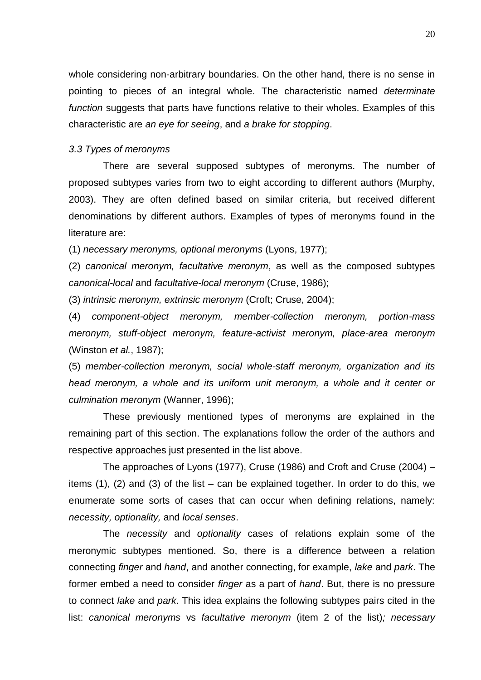whole considering non-arbitrary boundaries. On the other hand, there is no sense in pointing to pieces of an integral whole. The characteristic named *determinate function* suggests that parts have functions relative to their wholes. Examples of this characteristic are *an eye for seeing*, and *a brake for stopping*.

### *3.3 Types of meronyms*

There are several supposed subtypes of meronyms. The number of proposed subtypes varies from two to eight according to different authors (Murphy, 2003). They are often defined based on similar criteria, but received different denominations by different authors. Examples of types of meronyms found in the literature are:

(1) *necessary meronyms, optional meronyms* (Lyons, 1977);

(2) *canonical meronym, facultative meronym*, as well as the composed subtypes *canonical-local* and *facultative-local meronym* (Cruse, 1986);

(3) *intrinsic meronym, extrinsic meronym* (Croft; Cruse, 2004);

(4) *component-object meronym, member-collection meronym, portion-mass meronym, stuff-object meronym, feature-activist meronym, place-area meronym* (Winston *et al.*, 1987);

(5) *member-collection meronym, social whole-staff meronym, organization and its head meronym, a whole and its uniform unit meronym, a whole and it center or culmination meronym* (Wanner, 1996);

These previously mentioned types of meronyms are explained in the remaining part of this section. The explanations follow the order of the authors and respective approaches just presented in the list above.

The approaches of Lyons (1977), Cruse (1986) and Croft and Cruse (2004) – items (1), (2) and (3) of the list – can be explained together. In order to do this, we enumerate some sorts of cases that can occur when defining relations, namely: *necessity, optionality,* and *local senses*.

The *necessity* and *optionality* cases of relations explain some of the meronymic subtypes mentioned. So, there is a difference between a relation connecting *finger* and *hand*, and another connecting, for example, *lake* and *park*. The former embed a need to consider *finger* as a part of *hand*. But, there is no pressure to connect *lake* and *park*. This idea explains the following subtypes pairs cited in the list: *canonical meronyms* vs *facultative meronym* (item 2 of the list)*; necessary*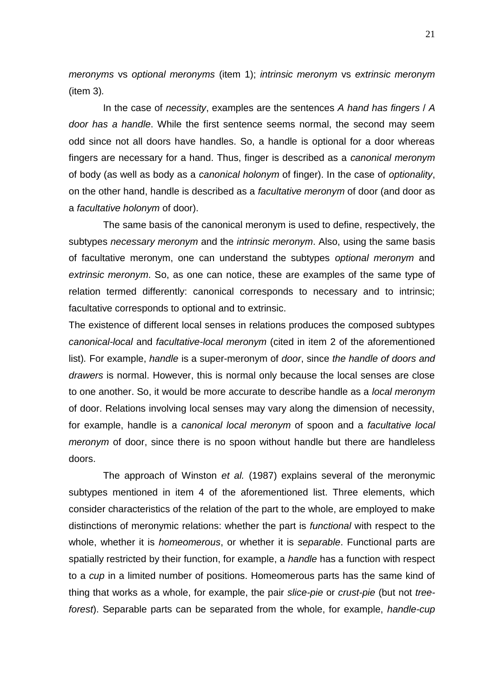*meronyms* vs *optional meronyms* (item 1); *intrinsic meronym* vs *extrinsic meronym*  (item 3)*.*

In the case of *necessity*, examples are the sentences *A hand has fingers* / *A door has a handle*. While the first sentence seems normal, the second may seem odd since not all doors have handles. So, a handle is optional for a door whereas fingers are necessary for a hand. Thus, finger is described as a *canonical meronym*  of body (as well as body as a *canonical holonym* of finger). In the case of *optionality*, on the other hand, handle is described as a *facultative meronym* of door (and door as a *facultative holonym* of door).

The same basis of the canonical meronym is used to define, respectively, the subtypes *necessary meronym* and the *intrinsic meronym*. Also, using the same basis of facultative meronym, one can understand the subtypes *optional meronym* and *extrinsic meronym*. So, as one can notice, these are examples of the same type of relation termed differently: canonical corresponds to necessary and to intrinsic; facultative corresponds to optional and to extrinsic.

The existence of different local senses in relations produces the composed subtypes *canonical-local* and *facultative-local meronym* (cited in item 2 of the aforementioned list)*.* For example, *handle* is a super-meronym of *door*, since *the handle of doors and drawers* is normal. However, this is normal only because the local senses are close to one another. So, it would be more accurate to describe handle as a *local meronym* of door. Relations involving local senses may vary along the dimension of necessity, for example, handle is a *canonical local meronym* of spoon and a *facultative local meronym* of door, since there is no spoon without handle but there are handleless doors.

The approach of Winston *et al.* (1987) explains several of the meronymic subtypes mentioned in item 4 of the aforementioned list. Three elements, which consider characteristics of the relation of the part to the whole, are employed to make distinctions of meronymic relations: whether the part is *functional* with respect to the whole, whether it is *homeomerous*, or whether it is *separable*. Functional parts are spatially restricted by their function, for example, a *handle* has a function with respect to a *cup* in a limited number of positions. Homeomerous parts has the same kind of thing that works as a whole, for example, the pair *slice-pie* or *crust-pie* (but not *treeforest*). Separable parts can be separated from the whole, for example, *handle-cup*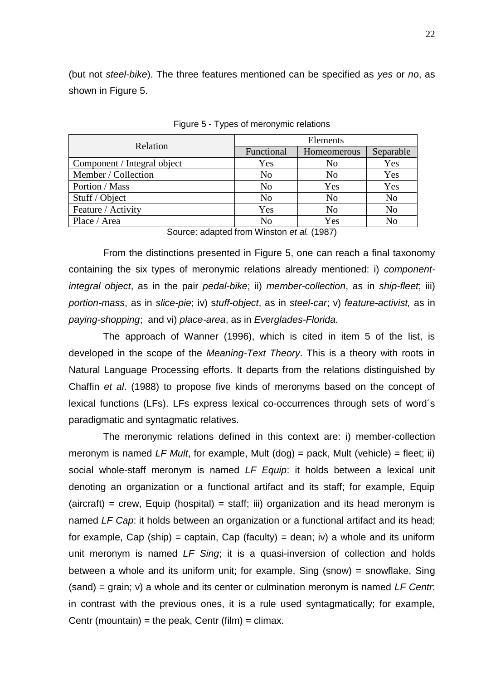(but not *steel-bike*). The three features mentioned can be specified as *yes* or *no*, as shown in Figure 5.

| Relation                    | Elements       |                |                |  |
|-----------------------------|----------------|----------------|----------------|--|
|                             | Functional     | Homeomerous    | Separable      |  |
| Component / Integral object | Yes            | N <sub>0</sub> | Yes            |  |
| Member / Collection         | N <sub>o</sub> | N <sub>0</sub> | Yes            |  |
| Portion / Mass              | N <sub>0</sub> | Yes            | Yes            |  |
| Stuff / Object              | N <sub>o</sub> | N <sub>o</sub> | N <sub>o</sub> |  |
| Feature / Activity          | Yes            | N <sub>o</sub> | N <sub>o</sub> |  |
| Place / Area                | N <sub>0</sub> | Yes            | No             |  |

Figure 5 - Types of meronymic relations

Source: adapted from Winston *et al.* (1987)

From the distinctions presented in Figure 5, one can reach a final taxonomy containing the six types of meronymic relations already mentioned: i) *componentintegral object*, as in the pair *pedal-bike*; ii) *member-collection*, as in *ship-fleet*; iii) *portion-mass*, as in *slice-pie*; iv) s*tuff-object*, as in *steel-car*; v) *feature-activist,* as in *paying-shopping*; and vi) *place-area*, as in *Everglades-Florida*.

The approach of Wanner (1996), which is cited in item 5 of the list, is developed in the scope of the *Meaning-Text Theory*. This is a theory with roots in Natural Language Processing efforts. It departs from the relations distinguished by Chaffin *et al*. (1988) to propose five kinds of meronyms based on the concept of lexical functions (LFs). LFs express lexical co-occurrences through sets of word´s paradigmatic and syntagmatic relatives.

The meronymic relations defined in this context are: i) member-collection meronym is named *LF Mult*, for example, Mult (dog) = pack, Mult (vehicle) = fleet; ii) social whole-staff meronym is named *LF Equip*: it holds between a lexical unit denoting an organization or a functional artifact and its staff; for example, Equip  $(aircuit)$  = crew, Equip (hospital) = staff; iii) organization and its head meronym is named *LF Cap*: it holds between an organization or a functional artifact and its head; for example, Cap (ship) = captain, Cap (faculty) = dean; iv) a whole and its uniform unit meronym is named *LF Sing*; it is a quasi-inversion of collection and holds between a whole and its uniform unit; for example, Sing (snow) = snowflake, Sing (sand) = grain; v) a whole and its center or culmination meronym is named *LF Centr*: in contrast with the previous ones, it is a rule used syntagmatically; for example, Centr (mountain) = the peak, Centr (film) = climax.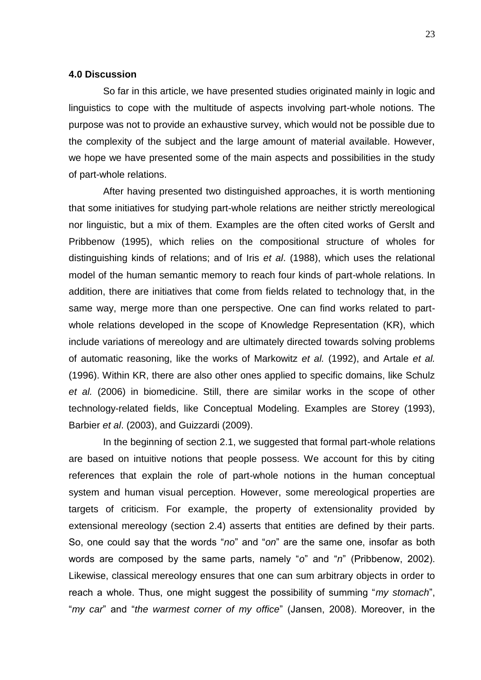### **4.0 Discussion**

So far in this article, we have presented studies originated mainly in logic and linguistics to cope with the multitude of aspects involving part-whole notions. The purpose was not to provide an exhaustive survey, which would not be possible due to the complexity of the subject and the large amount of material available. However, we hope we have presented some of the main aspects and possibilities in the study of part-whole relations.

After having presented two distinguished approaches, it is worth mentioning that some initiatives for studying part-whole relations are neither strictly mereological nor linguistic, but a mix of them. Examples are the often cited works of Gerslt and Pribbenow (1995), which relies on the compositional structure of wholes for distinguishing kinds of relations; and of Iris *et al*. (1988), which uses the relational model of the human semantic memory to reach four kinds of part-whole relations. In addition, there are initiatives that come from fields related to technology that, in the same way, merge more than one perspective. One can find works related to partwhole relations developed in the scope of Knowledge Representation (KR), which include variations of mereology and are ultimately directed towards solving problems of automatic reasoning, like the works of Markowitz *et al.* (1992), and Artale *et al.* (1996). Within KR, there are also other ones applied to specific domains, like Schulz *et al.* (2006) in biomedicine. Still, there are similar works in the scope of other technology-related fields, like Conceptual Modeling. Examples are Storey (1993), Barbier *et al*. (2003), and Guizzardi (2009).

In the beginning of section 2.1, we suggested that formal part-whole relations are based on intuitive notions that people possess. We account for this by citing references that explain the role of part-whole notions in the human conceptual system and human visual perception. However, some mereological properties are targets of criticism. For example, the property of extensionality provided by extensional mereology (section 2.4) asserts that entities are defined by their parts. So, one could say that the words "*no*" and "*on*" are the same one, insofar as both words are composed by the same parts, namely "*o*" and "*n*" (Pribbenow, 2002). Likewise, classical mereology ensures that one can sum arbitrary objects in order to reach a whole. Thus, one might suggest the possibility of summing "*my stomach*", "*my car*" and "*the warmest corner of my office*" (Jansen, 2008). Moreover, in the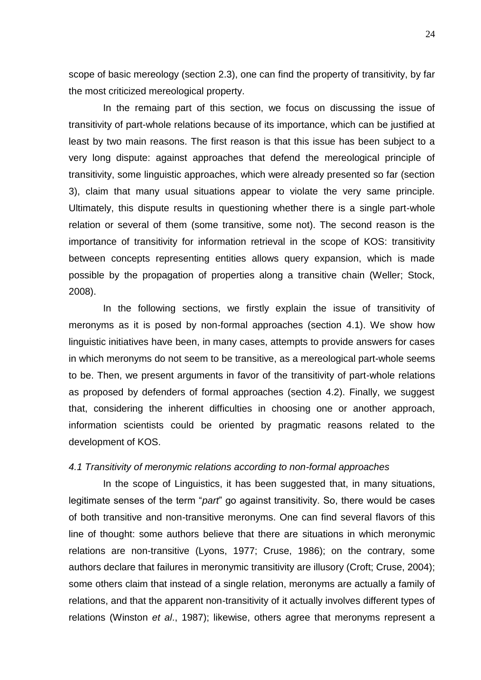scope of basic mereology (section 2.3), one can find the property of transitivity, by far the most criticized mereological property.

In the remaing part of this section, we focus on discussing the issue of transitivity of part-whole relations because of its importance, which can be justified at least by two main reasons. The first reason is that this issue has been subject to a very long dispute: against approaches that defend the mereological principle of transitivity, some linguistic approaches, which were already presented so far (section 3), claim that many usual situations appear to violate the very same principle. Ultimately, this dispute results in questioning whether there is a single part-whole relation or several of them (some transitive, some not). The second reason is the importance of transitivity for information retrieval in the scope of KOS: transitivity between concepts representing entities allows query expansion, which is made possible by the propagation of properties along a transitive chain (Weller; Stock, 2008).

In the following sections, we firstly explain the issue of transitivity of meronyms as it is posed by non-formal approaches (section 4.1). We show how linguistic initiatives have been, in many cases, attempts to provide answers for cases in which meronyms do not seem to be transitive, as a mereological part-whole seems to be. Then, we present arguments in favor of the transitivity of part-whole relations as proposed by defenders of formal approaches (section 4.2). Finally, we suggest that, considering the inherent difficulties in choosing one or another approach, information scientists could be oriented by pragmatic reasons related to the development of KOS.

# *4.1 Transitivity of meronymic relations according to non-formal approaches*

In the scope of Linguistics, it has been suggested that, in many situations, legitimate senses of the term "*part*" go against transitivity. So, there would be cases of both transitive and non-transitive meronyms. One can find several flavors of this line of thought: some authors believe that there are situations in which meronymic relations are non-transitive (Lyons, 1977; Cruse, 1986); on the contrary, some authors declare that failures in meronymic transitivity are illusory (Croft; Cruse, 2004); some others claim that instead of a single relation, meronyms are actually a family of relations, and that the apparent non-transitivity of it actually involves different types of relations (Winston *et al*., 1987); likewise, others agree that meronyms represent a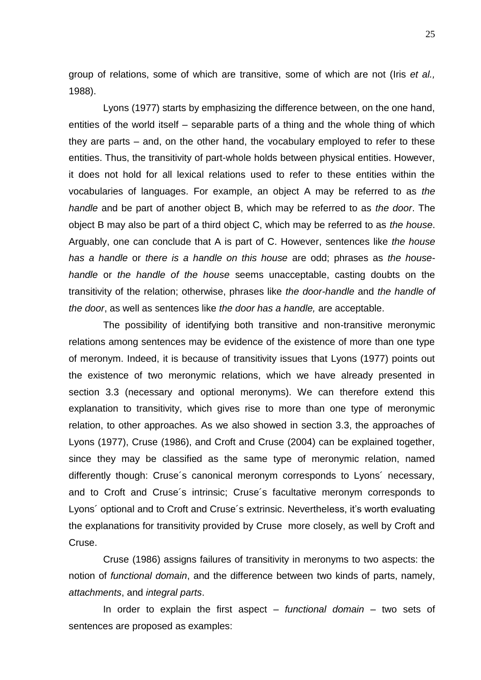group of relations, some of which are transitive, some of which are not (Iris *et al.,* 1988).

Lyons (1977) starts by emphasizing the difference between, on the one hand, entities of the world itself – separable parts of a thing and the whole thing of which they are parts – and, on the other hand, the vocabulary employed to refer to these entities. Thus, the transitivity of part-whole holds between physical entities. However, it does not hold for all lexical relations used to refer to these entities within the vocabularies of languages. For example, an object A may be referred to as *the handle* and be part of another object B, which may be referred to as *the door*. The object B may also be part of a third object C, which may be referred to as *the house*. Arguably, one can conclude that A is part of C. However, sentences like *the house has a handle* or *there is a handle on this house* are odd; phrases as *the househandle* or *the handle of the house* seems unacceptable, casting doubts on the transitivity of the relation; otherwise, phrases like *the door-handle* and *the handle of the door*, as well as sentences like *the door has a handle,* are acceptable.

The possibility of identifying both transitive and non-transitive meronymic relations among sentences may be evidence of the existence of more than one type of meronym. Indeed, it is because of transitivity issues that Lyons (1977) points out the existence of two meronymic relations, which we have already presented in section 3.3 (necessary and optional meronyms). We can therefore extend this explanation to transitivity, which gives rise to more than one type of meronymic relation, to other approaches. As we also showed in section 3.3, the approaches of Lyons (1977), Cruse (1986), and Croft and Cruse (2004) can be explained together, since they may be classified as the same type of meronymic relation, named differently though: Cruse´s canonical meronym corresponds to Lyons´ necessary, and to Croft and Cruse´s intrinsic; Cruse´s facultative meronym corresponds to Lyons´ optional and to Croft and Cruse´s extrinsic. Nevertheless, it's worth evaluating the explanations for transitivity provided by Cruse more closely, as well by Croft and Cruse.

Cruse (1986) assigns failures of transitivity in meronyms to two aspects: the notion of *functional domain*, and the difference between two kinds of parts, namely, *attachments*, and *integral parts*.

In order to explain the first aspect – *functional domain* – two sets of sentences are proposed as examples: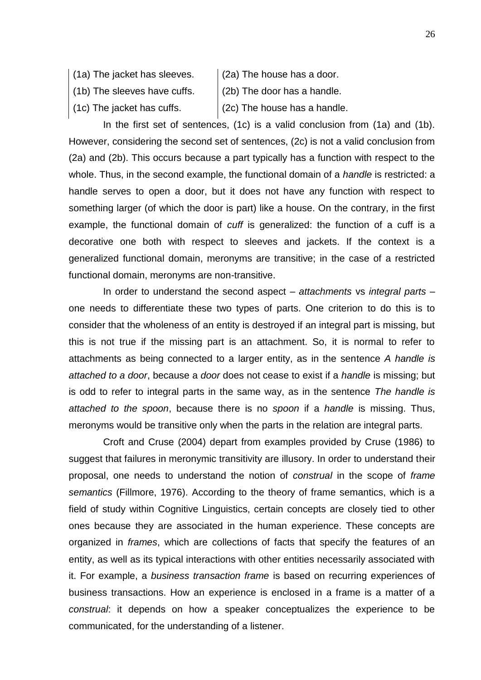- (1a) The jacket has sleeves.
- (1b) The sleeves have cuffs.
- (2a) The house has a door.
- (2b) The door has a handle.
- (1c) The jacket has cuffs.
- (2c) The house has a handle.

In the first set of sentences, (1c) is a valid conclusion from (1a) and (1b). However, considering the second set of sentences, (2c) is not a valid conclusion from (2a) and (2b). This occurs because a part typically has a function with respect to the whole. Thus, in the second example, the functional domain of a *handle* is restricted: a handle serves to open a door, but it does not have any function with respect to something larger (of which the door is part) like a house. On the contrary, in the first example, the functional domain of *cuff* is generalized: the function of a cuff is a decorative one both with respect to sleeves and jackets. If the context is a generalized functional domain, meronyms are transitive; in the case of a restricted functional domain, meronyms are non-transitive.

In order to understand the second aspect – *attachments* vs *integral parts* – one needs to differentiate these two types of parts. One criterion to do this is to consider that the wholeness of an entity is destroyed if an integral part is missing, but this is not true if the missing part is an attachment. So, it is normal to refer to attachments as being connected to a larger entity, as in the sentence *A handle is attached to a door*, because a *door* does not cease to exist if a *handle* is missing; but is odd to refer to integral parts in the same way, as in the sentence *The handle is attached to the spoon*, because there is no *spoon* if a *handle* is missing. Thus, meronyms would be transitive only when the parts in the relation are integral parts.

Croft and Cruse (2004) depart from examples provided by Cruse (1986) to suggest that failures in meronymic transitivity are illusory. In order to understand their proposal, one needs to understand the notion of *construal* in the scope of *frame semantics* (Fillmore, 1976). According to the theory of frame semantics, which is a field of study within Cognitive Linguistics, certain concepts are closely tied to other ones because they are associated in the human experience. These concepts are organized in *frames*, which are collections of facts that specify the features of an entity, as well as its typical interactions with other entities necessarily associated with it. For example, a *business transaction frame* is based on recurring experiences of business transactions. How an experience is enclosed in a frame is a matter of a *construal*: it depends on how a speaker conceptualizes the experience to be communicated, for the understanding of a listener.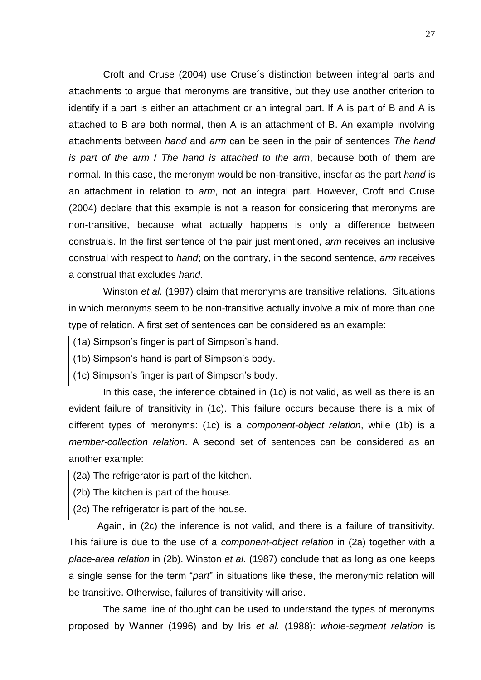Croft and Cruse (2004) use Cruse´s distinction between integral parts and attachments to argue that meronyms are transitive, but they use another criterion to identify if a part is either an attachment or an integral part. If A is part of B and A is attached to B are both normal, then A is an attachment of B. An example involving attachments between *hand* and *arm* can be seen in the pair of sentences *The hand is part of the arm* / *The hand is attached to the arm*, because both of them are normal. In this case, the meronym would be non-transitive, insofar as the part *hand* is an attachment in relation to *arm*, not an integral part. However, Croft and Cruse (2004) declare that this example is not a reason for considering that meronyms are non-transitive, because what actually happens is only a difference between construals. In the first sentence of the pair just mentioned, *arm* receives an inclusive construal with respect to *hand*; on the contrary, in the second sentence, *arm* receives a construal that excludes *hand*.

Winston *et al*. (1987) claim that meronyms are transitive relations. Situations in which meronyms seem to be non-transitive actually involve a mix of more than one type of relation. A first set of sentences can be considered as an example:

- (1a) Simpson's finger is part of Simpson's hand.
- (1b) Simpson's hand is part of Simpson's body.
- (1c) Simpson's finger is part of Simpson's body.

In this case, the inference obtained in (1c) is not valid, as well as there is an evident failure of transitivity in (1c). This failure occurs because there is a mix of different types of meronyms: (1c) is a *component-object relation*, while (1b) is a *member-collection relation*. A second set of sentences can be considered as an another example:

- (2a) The refrigerator is part of the kitchen.
- (2b) The kitchen is part of the house.
- (2c) The refrigerator is part of the house.

Again, in (2c) the inference is not valid, and there is a failure of transitivity. This failure is due to the use of a *component-object relation* in (2a) together with a *place-area relation* in (2b). Winston *et al*. (1987) conclude that as long as one keeps a single sense for the term "*part*" in situations like these, the meronymic relation will be transitive. Otherwise, failures of transitivity will arise.

The same line of thought can be used to understand the types of meronyms proposed by Wanner (1996) and by Iris *et al.* (1988): *whole-segment relation* is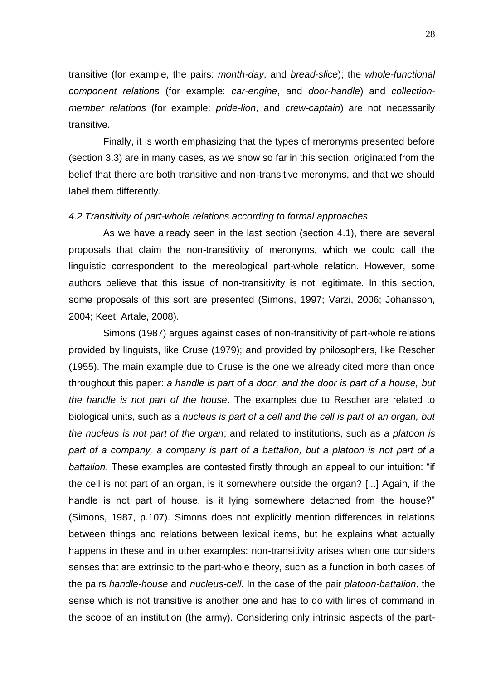transitive (for example, the pairs: *month-day*, and *bread-slice*); the *whole-functional component relations* (for example: *car-engine*, and *door-handle*) and *collectionmember relations* (for example: *pride-lion*, and *crew-captain*) are not necessarily transitive.

Finally, it is worth emphasizing that the types of meronyms presented before (section 3.3) are in many cases, as we show so far in this section, originated from the belief that there are both transitive and non-transitive meronyms, and that we should label them differently.

## *4.2 Transitivity of part-whole relations according to formal approaches*

As we have already seen in the last section (section 4.1), there are several proposals that claim the non-transitivity of meronyms, which we could call the linguistic correspondent to the mereological part-whole relation. However, some authors believe that this issue of non-transitivity is not legitimate. In this section, some proposals of this sort are presented (Simons, 1997; Varzi, 2006; Johansson, 2004; Keet; Artale, 2008).

Simons (1987) argues against cases of non-transitivity of part-whole relations provided by linguists, like Cruse (1979); and provided by philosophers, like Rescher (1955). The main example due to Cruse is the one we already cited more than once throughout this paper: *a handle is part of a door, and the door is part of a house, but the handle is not part of the house*. The examples due to Rescher are related to biological units, such as *a nucleus is part of a cell and the cell is part of an organ, but the nucleus is not part of the organ*; and related to institutions, such as *a platoon is*  part of a company, a company is part of a battalion, but a platoon is not part of a *battalion*. These examples are contested firstly through an appeal to our intuition: "if the cell is not part of an organ, is it somewhere outside the organ? [...] Again, if the handle is not part of house, is it lying somewhere detached from the house?" (Simons, 1987, p.107). Simons does not explicitly mention differences in relations between things and relations between lexical items, but he explains what actually happens in these and in other examples: non-transitivity arises when one considers senses that are extrinsic to the part-whole theory, such as a function in both cases of the pairs *handle-house* and *nucleus-cell*. In the case of the pair *platoon-battalion*, the sense which is not transitive is another one and has to do with lines of command in the scope of an institution (the army). Considering only intrinsic aspects of the part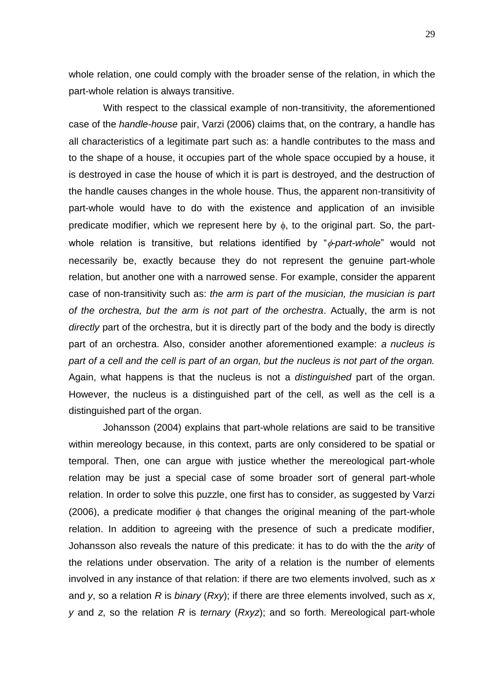whole relation, one could comply with the broader sense of the relation, in which the part-whole relation is always transitive.

With respect to the classical example of non-transitivity, the aforementioned case of the *handle-house* pair, Varzi (2006) claims that, on the contrary, a handle has all characteristics of a legitimate part such as: a handle contributes to the mass and to the shape of a house, it occupies part of the whole space occupied by a house, it is destroyed in case the house of which it is part is destroyed, and the destruction of the handle causes changes in the whole house. Thus, the apparent non-transitivity of part-whole would have to do with the existence and application of an invisible predicate modifier, which we represent here by  $\phi$ , to the original part. So, the partwhole relation is transitive, but relations identified by "*<sub>d</sub>-part-whole*" would not necessarily be, exactly because they do not represent the genuine part-whole relation, but another one with a narrowed sense. For example, consider the apparent case of non-transitivity such as: *the arm is part of the musician, the musician is part of the orchestra, but the arm is not part of the orchestra*. Actually, the arm is not *directly* part of the orchestra, but it is directly part of the body and the body is directly part of an orchestra. Also, consider another aforementioned example: *a nucleus is part of a cell and the cell is part of an organ, but the nucleus is not part of the organ.* Again, what happens is that the nucleus is not a *distinguished* part of the organ. However, the nucleus is a distinguished part of the cell, as well as the cell is a distinguished part of the organ.

Johansson (2004) explains that part-whole relations are said to be transitive within mereology because, in this context, parts are only considered to be spatial or temporal. Then, one can argue with justice whether the mereological part-whole relation may be just a special case of some broader sort of general part-whole relation. In order to solve this puzzle, one first has to consider, as suggested by Varzi (2006), a predicate modifier  $\phi$  that changes the original meaning of the part-whole relation. In addition to agreeing with the presence of such a predicate modifier, Johansson also reveals the nature of this predicate: it has to do with the the *arity* of the relations under observation. The arity of a relation is the number of elements involved in any instance of that relation: if there are two elements involved, such as *x* and *y*, so a relation *R* is *binary* (*Rxy*); if there are three elements involved, such as *x*, *y* and *z*, so the relation *R* is *ternary* (*Rxyz*); and so forth. Mereological part-whole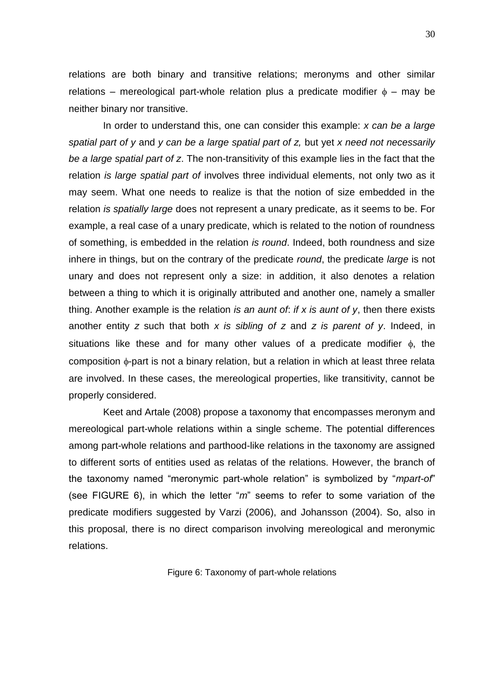relations are both binary and transitive relations; meronyms and other similar relations – mereological part-whole relation plus a predicate modifier  $\phi$  – may be neither binary nor transitive.

In order to understand this, one can consider this example: *x can be a large spatial part of y* and *y can be a large spatial part of z,* but yet *x need not necessarily be a large spatial part of z*. The non-transitivity of this example lies in the fact that the relation *is large spatial part of* involves three individual elements, not only two as it may seem. What one needs to realize is that the notion of size embedded in the relation *is spatially large* does not represent a unary predicate, as it seems to be. For example, a real case of a unary predicate, which is related to the notion of roundness of something, is embedded in the relation *is round*. Indeed, both roundness and size inhere in things, but on the contrary of the predicate *round*, the predicate *large* is not unary and does not represent only a size: in addition, it also denotes a relation between a thing to which it is originally attributed and another one, namely a smaller thing. Another example is the relation *is an aunt of*: *if x is aunt of y*, then there exists another entity *z* such that both *x is sibling of z* and *z is parent of y*. Indeed, in situations like these and for many other values of a predicate modifier  $\phi$ , the composition  $\phi$ -part is not a binary relation, but a relation in which at least three relata are involved. In these cases, the mereological properties, like transitivity, cannot be properly considered.

Keet and Artale (2008) propose a taxonomy that encompasses meronym and mereological part-whole relations within a single scheme. The potential differences among part-whole relations and parthood-like relations in the taxonomy are assigned to different sorts of entities used as relatas of the relations. However, the branch of the taxonomy named "meronymic part-whole relation" is symbolized by "*mpart-of*" (see FIGURE 6), in which the letter "*m*" seems to refer to some variation of the predicate modifiers suggested by Varzi (2006), and Johansson (2004). So, also in this proposal, there is no direct comparison involving mereological and meronymic relations.

Figure 6: Taxonomy of part-whole relations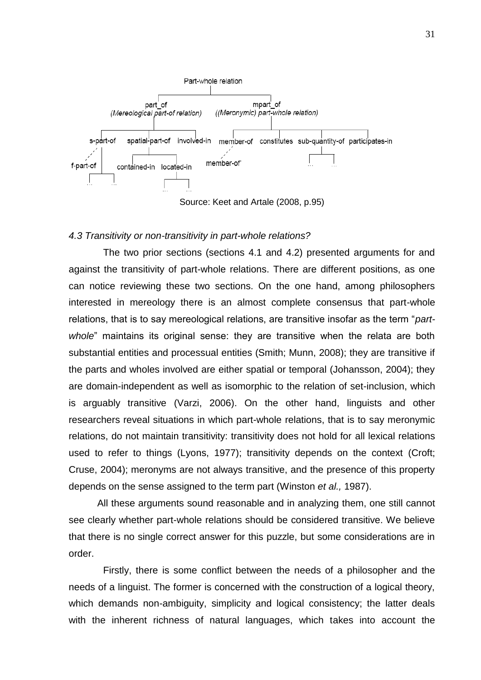

Source: Keet and Artale (2008, p.95)

# *4.3 Transitivity or non-transitivity in part-whole relations?*

The two prior sections (sections 4.1 and 4.2) presented arguments for and against the transitivity of part-whole relations. There are different positions, as one can notice reviewing these two sections. On the one hand, among philosophers interested in mereology there is an almost complete consensus that part-whole relations, that is to say mereological relations, are transitive insofar as the term "*partwhole*" maintains its original sense: they are transitive when the relata are both substantial entities and processual entities (Smith; Munn, 2008); they are transitive if the parts and wholes involved are either spatial or temporal (Johansson, 2004); they are domain-independent as well as isomorphic to the relation of set-inclusion, which is arguably transitive (Varzi, 2006). On the other hand, linguists and other researchers reveal situations in which part-whole relations, that is to say meronymic relations, do not maintain transitivity: transitivity does not hold for all lexical relations used to refer to things (Lyons, 1977); transitivity depends on the context (Croft; Cruse, 2004); meronyms are not always transitive, and the presence of this property depends on the sense assigned to the term part (Winston *et al.,* 1987).

All these arguments sound reasonable and in analyzing them, one still cannot see clearly whether part-whole relations should be considered transitive. We believe that there is no single correct answer for this puzzle, but some considerations are in order.

Firstly, there is some conflict between the needs of a philosopher and the needs of a linguist. The former is concerned with the construction of a logical theory, which demands non-ambiguity, simplicity and logical consistency; the latter deals with the inherent richness of natural languages, which takes into account the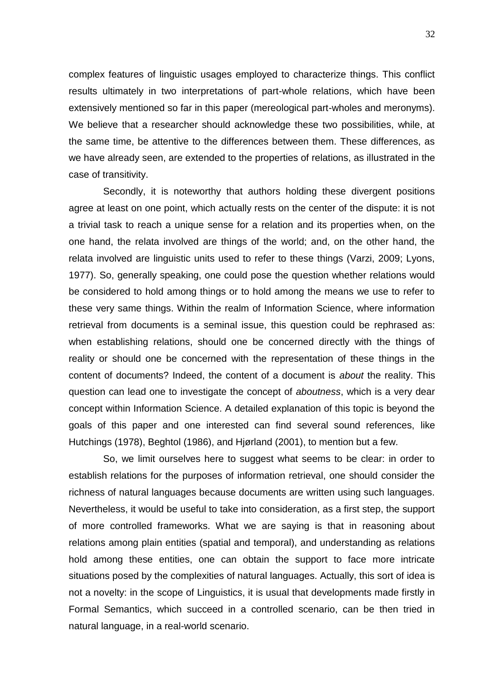complex features of linguistic usages employed to characterize things. This conflict results ultimately in two interpretations of part-whole relations, which have been extensively mentioned so far in this paper (mereological part-wholes and meronyms). We believe that a researcher should acknowledge these two possibilities, while, at the same time, be attentive to the differences between them. These differences, as we have already seen, are extended to the properties of relations, as illustrated in the case of transitivity.

Secondly, it is noteworthy that authors holding these divergent positions agree at least on one point, which actually rests on the center of the dispute: it is not a trivial task to reach a unique sense for a relation and its properties when, on the one hand, the relata involved are things of the world; and, on the other hand, the relata involved are linguistic units used to refer to these things (Varzi, 2009; Lyons, 1977). So, generally speaking, one could pose the question whether relations would be considered to hold among things or to hold among the means we use to refer to these very same things. Within the realm of Information Science, where information retrieval from documents is a seminal issue, this question could be rephrased as: when establishing relations, should one be concerned directly with the things of reality or should one be concerned with the representation of these things in the content of documents? Indeed, the content of a document is *about* the reality. This question can lead one to investigate the concept of *aboutness*, which is a very dear concept within Information Science. A detailed explanation of this topic is beyond the goals of this paper and one interested can find several sound references, like Hutchings (1978), Beghtol (1986), and Hjørland (2001), to mention but a few.

So, we limit ourselves here to suggest what seems to be clear: in order to establish relations for the purposes of information retrieval, one should consider the richness of natural languages because documents are written using such languages. Nevertheless, it would be useful to take into consideration, as a first step, the support of more controlled frameworks. What we are saying is that in reasoning about relations among plain entities (spatial and temporal), and understanding as relations hold among these entities, one can obtain the support to face more intricate situations posed by the complexities of natural languages. Actually, this sort of idea is not a novelty: in the scope of Linguistics, it is usual that developments made firstly in Formal Semantics, which succeed in a controlled scenario, can be then tried in natural language, in a real-world scenario.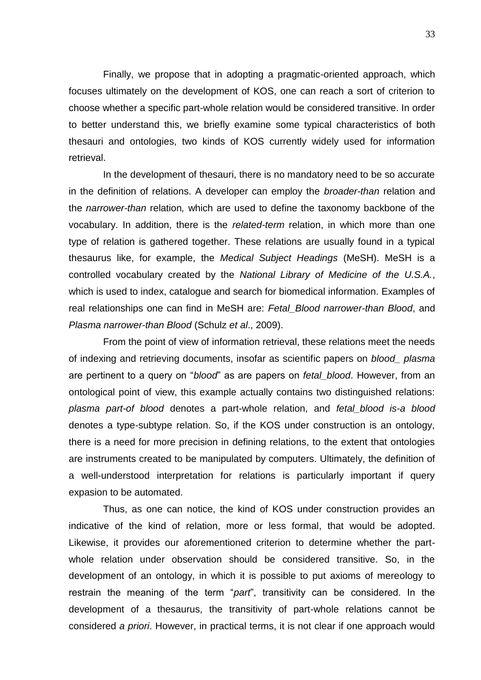Finally, we propose that in adopting a pragmatic-oriented approach, which focuses ultimately on the development of KOS, one can reach a sort of criterion to choose whether a specific part-whole relation would be considered transitive. In order to better understand this, we briefly examine some typical characteristics of both thesauri and ontologies, two kinds of KOS currently widely used for information retrieval.

In the development of thesauri, there is no mandatory need to be so accurate in the definition of relations. A developer can employ the *broader-than* relation and the *narrower-than* relation*,* which are used to define the taxonomy backbone of the vocabulary. In addition, there is the *related-term* relation, in which more than one type of relation is gathered together. These relations are usually found in a typical thesaurus like, for example, the *Medical Subject Headings* (MeSH). MeSH is a controlled vocabulary created by the *National Library of Medicine of the U.S.A.*, which is used to index, catalogue and search for biomedical information. Examples of real relationships one can find in MeSH are: *Fetal\_Blood narrower-than Blood*, and *Plasma narrower-than Blood* (Schulz *et al*., 2009).

From the point of view of information retrieval, these relations meet the needs of indexing and retrieving documents, insofar as scientific papers on *blood\_ plasma* are pertinent to a query on "*blood*" as are papers on *fetal\_blood*. However, from an ontological point of view, this example actually contains two distinguished relations: *plasma part-of blood* denotes a part-whole relation, and *fetal\_blood is-a blood* denotes a type-subtype relation. So, if the KOS under construction is an ontology, there is a need for more precision in defining relations, to the extent that ontologies are instruments created to be manipulated by computers. Ultimately, the definition of a well-understood interpretation for relations is particularly important if query expasion to be automated.

Thus, as one can notice, the kind of KOS under construction provides an indicative of the kind of relation, more or less formal, that would be adopted. Likewise, it provides our aforementioned criterion to determine whether the partwhole relation under observation should be considered transitive. So, in the development of an ontology, in which it is possible to put axioms of mereology to restrain the meaning of the term "*part*", transitivity can be considered. In the development of a thesaurus, the transitivity of part-whole relations cannot be considered *a priori*. However, in practical terms, it is not clear if one approach would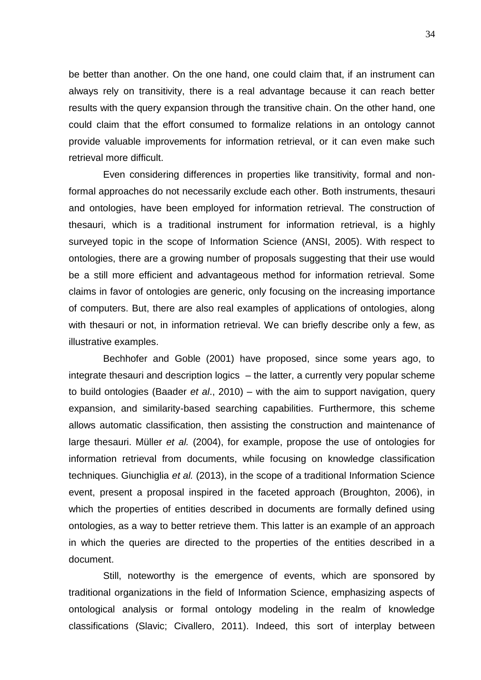be better than another. On the one hand, one could claim that, if an instrument can always rely on transitivity, there is a real advantage because it can reach better results with the query expansion through the transitive chain. On the other hand, one could claim that the effort consumed to formalize relations in an ontology cannot provide valuable improvements for information retrieval, or it can even make such retrieval more difficult.

Even considering differences in properties like transitivity, formal and nonformal approaches do not necessarily exclude each other. Both instruments, thesauri and ontologies, have been employed for information retrieval. The construction of thesauri, which is a traditional instrument for information retrieval, is a highly surveyed topic in the scope of Information Science (ANSI, 2005). With respect to ontologies, there are a growing number of proposals suggesting that their use would be a still more efficient and advantageous method for information retrieval. Some claims in favor of ontologies are generic, only focusing on the increasing importance of computers. But, there are also real examples of applications of ontologies, along with thesauri or not, in information retrieval. We can briefly describe only a few, as illustrative examples.

Bechhofer and Goble (2001) have proposed, since some years ago, to integrate thesauri and description logics – the latter, a currently very popular scheme to build ontologies (Baader *et al*., 2010) – with the aim to support navigation, query expansion, and similarity-based searching capabilities. Furthermore, this scheme allows automatic classification, then assisting the construction and maintenance of large thesauri. Müller *et al.* (2004), for example, propose the use of ontologies for information retrieval from documents, while focusing on knowledge classification techniques. Giunchiglia *et al.* (2013), in the scope of a traditional Information Science event, present a proposal inspired in the faceted approach (Broughton, 2006), in which the properties of entities described in documents are formally defined using ontologies, as a way to better retrieve them. This latter is an example of an approach in which the queries are directed to the properties of the entities described in a document.

Still, noteworthy is the emergence of events, which are sponsored by traditional organizations in the field of Information Science, emphasizing aspects of ontological analysis or formal ontology modeling in the realm of knowledge classifications (Slavic; Civallero, 2011). Indeed, this sort of interplay between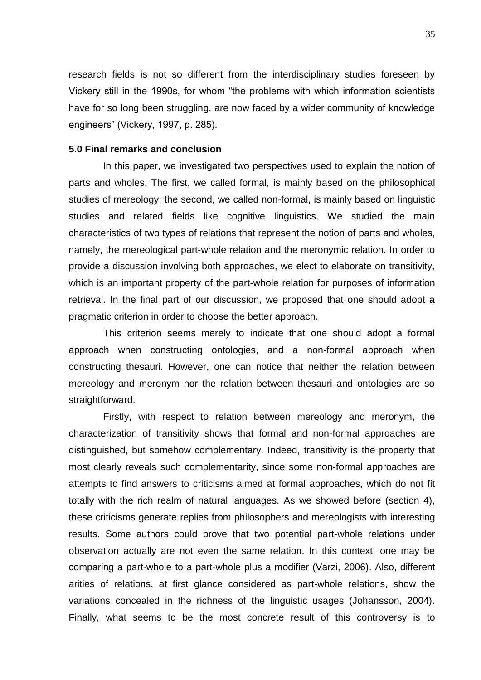research fields is not so different from the interdisciplinary studies foreseen by Vickery still in the 1990s, for whom "the problems with which information scientists have for so long been struggling, are now faced by a wider community of knowledge engineers" (Vickery, 1997, p. 285).

# **5.0 Final remarks and conclusion**

In this paper, we investigated two perspectives used to explain the notion of parts and wholes. The first, we called formal, is mainly based on the philosophical studies of mereology; the second, we called non-formal, is mainly based on linguistic studies and related fields like cognitive linguistics. We studied the main characteristics of two types of relations that represent the notion of parts and wholes, namely, the mereological part-whole relation and the meronymic relation. In order to provide a discussion involving both approaches, we elect to elaborate on transitivity, which is an important property of the part-whole relation for purposes of information retrieval. In the final part of our discussion, we proposed that one should adopt a pragmatic criterion in order to choose the better approach.

This criterion seems merely to indicate that one should adopt a formal approach when constructing ontologies, and a non-formal approach when constructing thesauri. However, one can notice that neither the relation between mereology and meronym nor the relation between thesauri and ontologies are so straightforward.

Firstly, with respect to relation between mereology and meronym, the characterization of transitivity shows that formal and non-formal approaches are distinguished, but somehow complementary. Indeed, transitivity is the property that most clearly reveals such complementarity, since some non-formal approaches are attempts to find answers to criticisms aimed at formal approaches, which do not fit totally with the rich realm of natural languages. As we showed before (section 4), these criticisms generate replies from philosophers and mereologists with interesting results. Some authors could prove that two potential part-whole relations under observation actually are not even the same relation. In this context, one may be comparing a part-whole to a part-whole plus a modifier (Varzi, 2006). Also, different arities of relations, at first glance considered as part-whole relations, show the variations concealed in the richness of the linguistic usages (Johansson, 2004). Finally, what seems to be the most concrete result of this controversy is to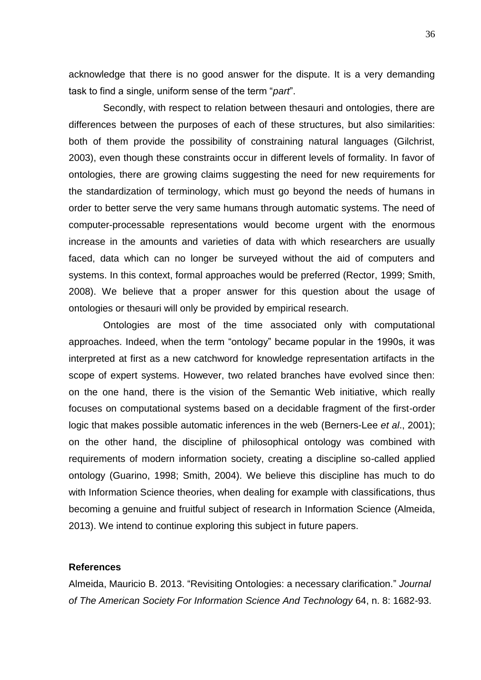acknowledge that there is no good answer for the dispute. It is a very demanding task to find a single, uniform sense of the term "*part*".

Secondly, with respect to relation between thesauri and ontologies, there are differences between the purposes of each of these structures, but also similarities: both of them provide the possibility of constraining natural languages (Gilchrist, 2003), even though these constraints occur in different levels of formality. In favor of ontologies, there are growing claims suggesting the need for new requirements for the standardization of terminology, which must go beyond the needs of humans in order to better serve the very same humans through automatic systems. The need of computer-processable representations would become urgent with the enormous increase in the amounts and varieties of data with which researchers are usually faced, data which can no longer be surveyed without the aid of computers and systems. In this context, formal approaches would be preferred (Rector, 1999; Smith, 2008). We believe that a proper answer for this question about the usage of ontologies or thesauri will only be provided by empirical research.

Ontologies are most of the time associated only with computational approaches. Indeed, when the term "ontology" became popular in the 1990s, it was interpreted at first as a new catchword for knowledge representation artifacts in the scope of expert systems. However, two related branches have evolved since then: on the one hand, there is the vision of the Semantic Web initiative, which really focuses on computational systems based on a decidable fragment of the first-order logic that makes possible automatic inferences in the web (Berners-Lee *et al*., 2001); on the other hand, the discipline of philosophical ontology was combined with requirements of modern information society, creating a discipline so-called applied ontology (Guarino, 1998; Smith, 2004). We believe this discipline has much to do with Information Science theories, when dealing for example with classifications, thus becoming a genuine and fruitful subject of research in Information Science (Almeida, 2013). We intend to continue exploring this subject in future papers.

### **References**

Almeida, Mauricio B. 2013. "Revisiting Ontologies: a necessary clarification." *Journal of The American Society For Information Science And Technology* 64, n. 8: 1682-93.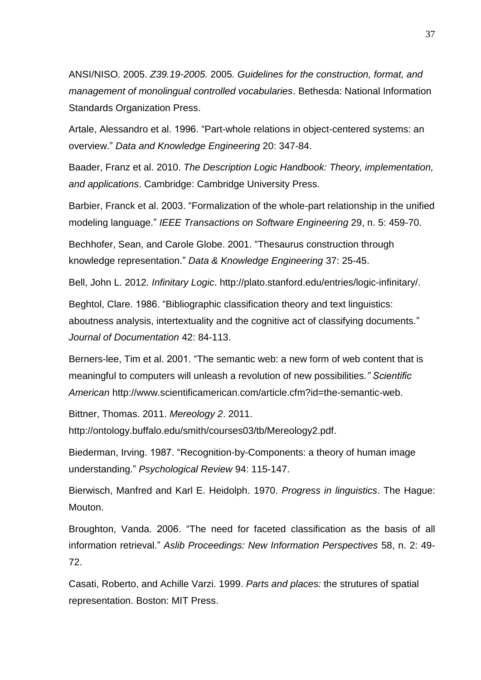ANSI/NISO. 2005. *Z39.19-2005.* 2005*. Guidelines for the construction, format, and management of monolingual controlled vocabularies*. Bethesda: National Information Standards Organization Press.

Artale, Alessandro et al. 1996. "Part-whole relations in object-centered systems: an overview." *Data and Knowledge Engineering* 20: 347-84.

Baader, Franz et al. 2010. *The Description Logic Handbook: Theory, implementation, and applications*. Cambridge: Cambridge University Press.

Barbier, Franck et al. 2003. "Formalization of the whole-part relationship in the unified modeling language." *IEEE Transactions on Software Engineering* 29, n. 5: 459-70.

Bechhofer, Sean, and Carole Globe. 2001. "Thesaurus construction through knowledge representation." *Data & Knowledge Engineering* 37: 25-45.

Bell, John L. 2012. *Infinitary Logic*. http://plato.stanford.edu/entries/logic-infinitary/.

Beghtol, Clare. 1986. "Bibliographic classification theory and text linguistics: aboutness analysis, intertextuality and the cognitive act of classifying documents." *Journal of Documentation* 42: 84-113.

Berners-lee, Tim et al. 2001. "The semantic web: a new form of web content that is meaningful to computers will unleash a revolution of new possibilities*." Scientific American* http://www.scientificamerican.com/article.cfm?id=the-semantic-web.

Bittner, Thomas. 2011. *Mereology 2*. 2011.

http://ontology.buffalo.edu/smith/courses03/tb/Mereology2.pdf.

Biederman, Irving. 1987. "Recognition-by-Components: a theory of human image understanding." *Psychological Review* 94: 115-147.

Bierwisch, Manfred and Karl E. Heidolph. 1970. *Progress in linguistics*. The Hague: Mouton.

Broughton, Vanda. 2006. "The need for faceted classification as the basis of all information retrieval." *Aslib Proceedings: New Information Perspectives* 58, n. 2: 49- 72.

Casati, Roberto, and Achille Varzi. 1999. *Parts and places:* the strutures of spatial representation. Boston: MIT Press.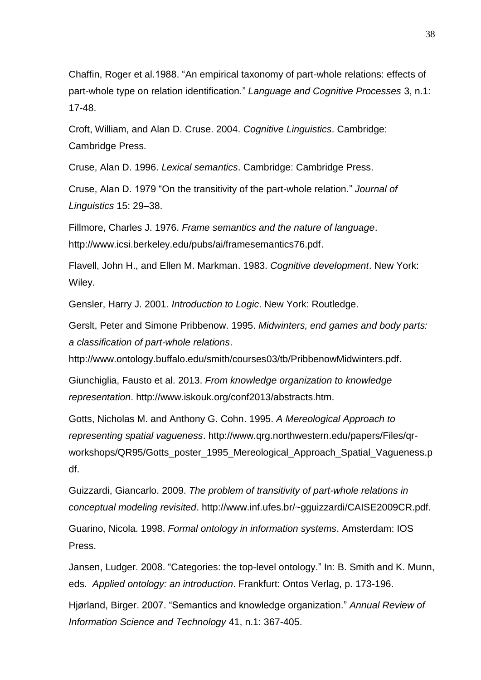Chaffin, Roger et al.1988. "An empirical taxonomy of part-whole relations: effects of part-whole type on relation identification." *Language and Cognitive Processes* 3, n.1: 17-48.

Croft, William, and Alan D. Cruse. 2004. *Cognitive Linguistics*. Cambridge: Cambridge Press.

Cruse, Alan D. 1996. *Lexical semantics*. Cambridge: Cambridge Press.

Cruse, Alan D. 1979 "On the transitivity of the part-whole relation." *Journal of Linguistics* 15: 29–38.

Fillmore, Charles J. 1976. *Frame semantics and the nature of language*. http://www.icsi.berkeley.edu/pubs/ai/framesemantics76.pdf.

Flavell, John H., and Ellen M. Markman. 1983. *Cognitive development*. New York: Wiley.

Gensler, Harry J. 2001. *Introduction to Logic*. New York: Routledge.

Gerslt, Peter and Simone Pribbenow. 1995. *Midwinters, end games and body parts: a classification of part-whole relations*.

http://www.ontology.buffalo.edu/smith/courses03/tb/PribbenowMidwinters.pdf.

Giunchiglia, Fausto et al. 2013. *From knowledge organization to knowledge representation*. http://www.iskouk.org/conf2013/abstracts.htm.

Gotts, Nicholas M. and Anthony G. Cohn. 1995. *A Mereological Approach to representing spatial vagueness*. http://www.qrg.northwestern.edu/papers/Files/qrworkshops/QR95/Gotts\_poster\_1995\_Mereological\_Approach\_Spatial\_Vagueness.p df.

Guizzardi, Giancarlo. 2009. *The problem of transitivity of part-whole relations in conceptual modeling revisited*. http://www.inf.ufes.br/~gguizzardi/CAISE2009CR.pdf.

Guarino, Nicola. 1998. *Formal ontology in information systems*. Amsterdam: IOS Press.

Jansen, Ludger. 2008. "Categories: the top-level ontology." In: B. Smith and K. Munn, eds. *Applied ontology: an introduction*. Frankfurt: Ontos Verlag, p. 173-196.

Hjørland, Birger. 2007. "Semantics and knowledge organization." *Annual Review of Information Science and Technology* 41, n.1: 367-405.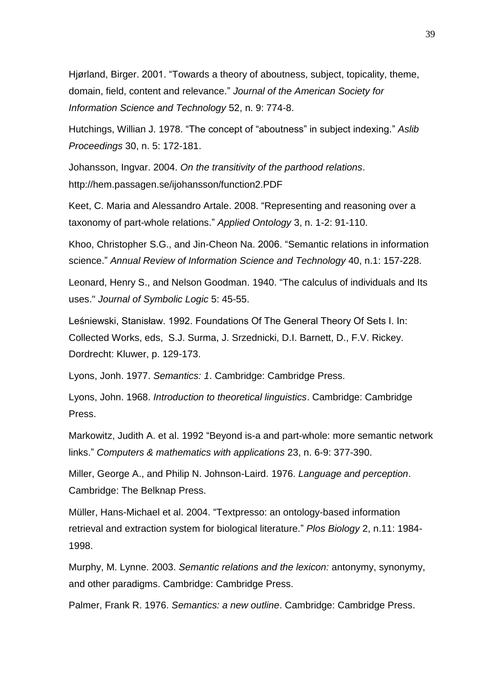Hjørland, Birger. 2001. "Towards a theory of aboutness, subject, topicality, theme, domain, field, content and relevance." *Journal of the American Society for Information Science and Technology* 52, n. 9: 774-8.

Hutchings, Willian J. 1978. "The concept of "aboutness" in subject indexing." *Aslib Proceedings* 30, n. 5: 172-181.

Johansson, Ingvar. 2004. *On the transitivity of the parthood relations*. http://hem.passagen.se/ijohansson/function2.PDF

Keet, C. Maria and Alessandro Artale. 2008. "Representing and reasoning over a taxonomy of part-whole relations." *Applied Ontology* 3, n. 1-2: 91-110.

Khoo, Christopher S.G., and Jin-Cheon Na. 2006. "Semantic relations in information science." *Annual Review of Information Science and Technology* 40, n.1: 157-228.

Leonard, Henry S., and Nelson Goodman. 1940. "The calculus of individuals and Its uses." *Journal of Symbolic Logic* 5: 45-55.

Leśniewski, Stanisław. 1992. Foundations Of The General Theory Of Sets I. In: Collected Works, eds, S.J. Surma, J. Srzednicki, D.I. Barnett, D., F.V. Rickey. Dordrecht: Kluwer, p. 129-173.

Lyons, Jonh. 1977. *Semantics: 1*. Cambridge: Cambridge Press.

Lyons, John. 1968. *Introduction to theoretical linguistics*. Cambridge: Cambridge Press.

Markowitz, Judith A. et al. 1992 "Beyond is-a and part-whole: more semantic network links." *Computers & mathematics with applications* 23, n. 6-9: 377-390.

Miller, George A., and Philip N. Johnson-Laird. 1976. *Language and perception*. Cambridge: The Belknap Press.

Müller, Hans-Michael et al. 2004. "Textpresso: an ontology-based information retrieval and extraction system for biological literature." *Plos Biology* 2, n.11: 1984- 1998.

Murphy, M. Lynne. 2003. *Semantic relations and the lexicon:* antonymy, synonymy, and other paradigms. Cambridge: Cambridge Press.

Palmer, Frank R. 1976. *Semantics: a new outline*. Cambridge: Cambridge Press.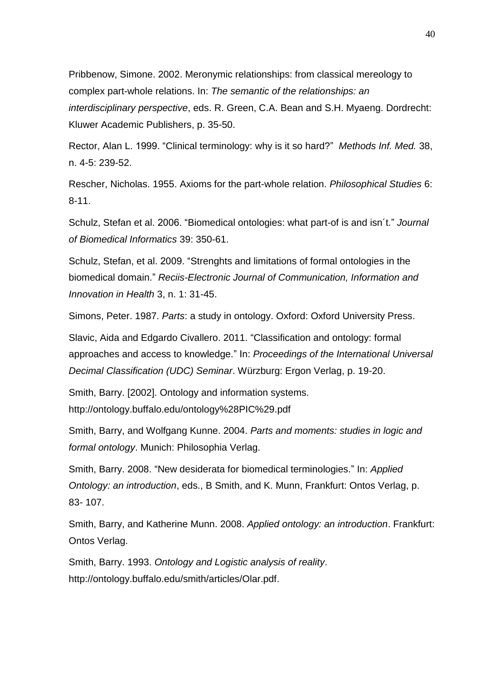Pribbenow, Simone. 2002. Meronymic relationships: from classical mereology to complex part-whole relations. In: *The semantic of the relationships: an interdisciplinary perspective*, eds. R. Green, C.A. Bean and S.H. Myaeng. Dordrecht: Kluwer Academic Publishers, p. 35-50.

Rector, Alan L. 1999. "Clinical terminology: why is it so hard?" *Methods Inf. Med.* 38, n. 4-5: 239-52.

Rescher, Nicholas. 1955. Axioms for the part-whole relation. *Philosophical Studies* 6: 8-11.

Schulz, Stefan et al. 2006. "Biomedical ontologies: what part-of is and isn´t." *Journal of Biomedical Informatics* 39: 350-61.

Schulz, Stefan, et al. 2009. "Strenghts and limitations of formal ontologies in the biomedical domain." *Reciis-Electronic Journal of Communication, Information and Innovation in Health* 3, n. 1: 31-45.

Simons, Peter. 1987. *Parts*: a study in ontology. Oxford: Oxford University Press.

Slavic, Aida and Edgardo Civallero. 2011. "Classification and ontology: formal approaches and access to knowledge." In: *Proceedings of the International Universal Decimal Classification (UDC) Seminar*. Würzburg: Ergon Verlag, p. 19-20.

Smith, Barry. [2002]. Ontology and information systems. http://ontology.buffalo.edu/ontology%28PIC%29.pdf

Smith, Barry, and Wolfgang Kunne. 2004. *Parts and moments: studies in logic and formal ontology*. Munich: Philosophia Verlag.

Smith, Barry. 2008. "New desiderata for biomedical terminologies." In: *Applied Ontology: an introduction*, eds., B Smith, and K. Munn, Frankfurt: Ontos Verlag, p. 83- 107.

Smith, Barry, and Katherine Munn. 2008. *Applied ontology: an introduction*. Frankfurt: Ontos Verlag.

Smith, Barry. 1993. *Ontology and Logistic analysis of reality*. http://ontology.buffalo.edu/smith/articles/Olar.pdf.